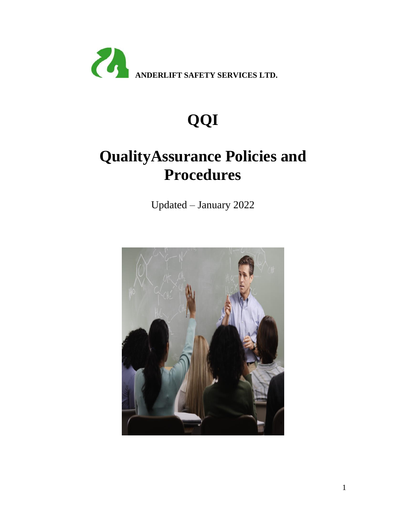

# **QQI**

# **QualityAssurance Policies and Procedures**

Updated – January 2022

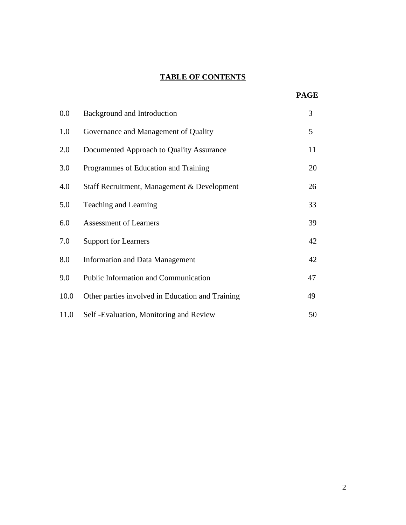# **TABLE OF CONTENTS**

| <b>PAGE</b> |
|-------------|
|             |

| $0.0\,$ | Background and Introduction                      | 3  |
|---------|--------------------------------------------------|----|
| 1.0     | Governance and Management of Quality             | 5  |
| 2.0     | Documented Approach to Quality Assurance         | 11 |
| 3.0     | Programmes of Education and Training             | 20 |
| 4.0     | Staff Recruitment, Management & Development      | 26 |
| 5.0     | Teaching and Learning                            | 33 |
| 6.0     | <b>Assessment of Learners</b>                    | 39 |
| 7.0     | <b>Support for Learners</b>                      | 42 |
| 8.0     | <b>Information and Data Management</b>           | 42 |
| 9.0     | Public Information and Communication             | 47 |
| 10.0    | Other parties involved in Education and Training | 49 |
| 11.0    | Self - Evaluation, Monitoring and Review         | 50 |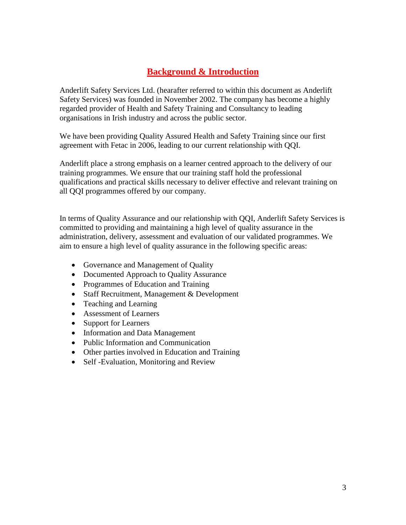# **Background & Introduction**

Anderlift Safety Services Ltd. (hearafter referred to within this document as Anderlift Safety Services) was founded in November 2002. The company has become a highly regarded provider of Health and Safety Training and Consultancy to leading organisations in Irish industry and across the public sector.

We have been providing Quality Assured Health and Safety Training since our first agreement with Fetac in 2006, leading to our current relationship with QQI.

Anderlift place a strong emphasis on a learner centred approach to the delivery of our training programmes. We ensure that our training staff hold the professional qualifications and practical skills necessary to deliver effective and relevant training on all QQI programmes offered by our company.

In terms of Quality Assurance and our relationship with QQI, Anderlift Safety Services is committed to providing and maintaining a high level of quality assurance in the administration, delivery, assessment and evaluation of our validated programmes. We aim to ensure a high level of quality assurance in the following specific areas:

- Governance and Management of Quality
- Documented Approach to Quality Assurance
- Programmes of Education and Training
- Staff Recruitment, Management & Development
- Teaching and Learning
- Assessment of Learners
- Support for Learners
- Information and Data Management
- Public Information and Communication
- Other parties involved in Education and Training
- Self -Evaluation, Monitoring and Review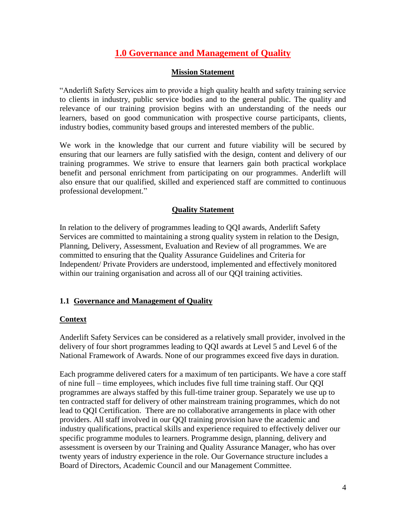# **1.0 Governance and Management of Quality**

## **Mission Statement**

"Anderlift Safety Services aim to provide a high quality health and safety training service to clients in industry, public service bodies and to the general public. The quality and relevance of our training provision begins with an understanding of the needs our learners, based on good communication with prospective course participants, clients, industry bodies, community based groups and interested members of the public.

We work in the knowledge that our current and future viability will be secured by ensuring that our learners are fully satisfied with the design, content and delivery of our training programmes. We strive to ensure that learners gain both practical workplace benefit and personal enrichment from participating on our programmes. Anderlift will also ensure that our qualified, skilled and experienced staff are committed to continuous professional development."

# **Quality Statement**

In relation to the delivery of programmes leading to QQI awards, Anderlift Safety Services are committed to maintaining a strong quality system in relation to the Design, Planning, Delivery, Assessment, Evaluation and Review of all programmes. We are committed to ensuring that the Quality Assurance Guidelines and Criteria for Independent/ Private Providers are understood, implemented and effectively monitored within our training organisation and across all of our QQI training activities.

# **1.1 Governance and Management of Quality**

#### **Context**

Anderlift Safety Services can be considered as a relatively small provider, involved in the delivery of four short programmes leading to QQI awards at Level 5 and Level 6 of the National Framework of Awards. None of our programmes exceed five days in duration.

Each programme delivered caters for a maximum of ten participants. We have a core staff of nine full – time employees, which includes five full time training staff. Our QQI programmes are always staffed by this full-time trainer group. Separately we use up to ten contracted staff for delivery of other mainstream training programmes, which do not lead to QQI Certification. There are no collaborative arrangements in place with other providers. All staff involved in our QQI training provision have the academic and industry qualifications, practical skills and experience required to effectively deliver our specific programme modules to learners. Programme design, planning, delivery and assessment is overseen by our Training and Quality Assurance Manager, who has over twenty years of industry experience in the role. Our Governance structure includes a Board of Directors, Academic Council and our Management Committee.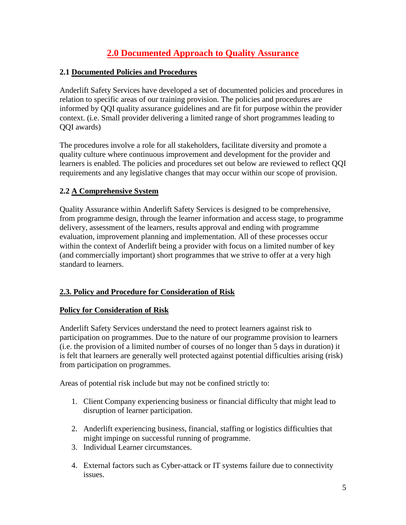# **2.0 Documented Approach to Quality Assurance**

# **2.1 Documented Policies and Procedures**

Anderlift Safety Services have developed a set of documented policies and procedures in relation to specific areas of our training provision. The policies and procedures are informed by QQI quality assurance guidelines and are fit for purpose within the provider context. (i.e. Small provider delivering a limited range of short programmes leading to QQI awards)

The procedures involve a role for all stakeholders, facilitate diversity and promote a quality culture where continuous improvement and development for the provider and learners is enabled. The policies and procedures set out below are reviewed to reflect QQI requirements and any legislative changes that may occur within our scope of provision.

# **2.2 A Comprehensive System**

Quality Assurance within Anderlift Safety Services is designed to be comprehensive, from programme design, through the learner information and access stage, to programme delivery, assessment of the learners, results approval and ending with programme evaluation, improvement planning and implementation. All of these processes occur within the context of Anderlift being a provider with focus on a limited number of key (and commercially important) short programmes that we strive to offer at a very high standard to learners.

# **2.3. Policy and Procedure for Consideration of Risk**

# **Policy for Consideration of Risk**

Anderlift Safety Services understand the need to protect learners against risk to participation on programmes. Due to the nature of our programme provision to learners (i.e. the provision of a limited number of courses of no longer than 5 days in duration) it is felt that learners are generally well protected against potential difficulties arising (risk) from participation on programmes.

Areas of potential risk include but may not be confined strictly to:

- 1. Client Company experiencing business or financial difficulty that might lead to disruption of learner participation.
- 2. Anderlift experiencing business, financial, staffing or logistics difficulties that might impinge on successful running of programme.
- 3. Individual Learner circumstances.
- 4. External factors such as Cyber-attack or IT systems failure due to connectivity issues.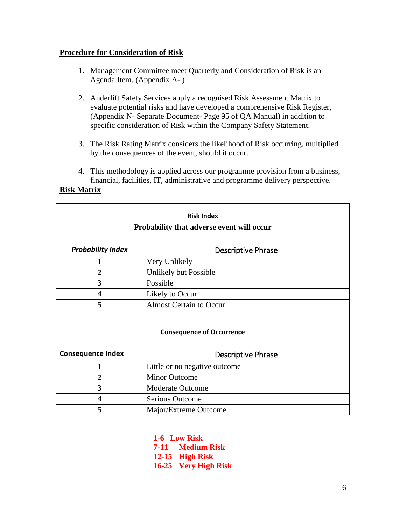#### **Procedure for Consideration of Risk**

- 1. Management Committee meet Quarterly and Consideration of Risk is an Agenda Item. (Appendix A- )
- 2. Anderlift Safety Services apply a recognised Risk Assessment Matrix to evaluate potential risks and have developed a comprehensive Risk Register, (Appendix N- Separate Document- Page 95 of QA Manual) in addition to specific consideration of Risk within the Company Safety Statement.
- 3. The Risk Rating Matrix considers the likelihood of Risk occurring, multiplied by the consequences of the event, should it occur.
- 4. This methodology is applied across our programme provision from a business, financial, facilities, IT, administrative and programme delivery perspective.

### **Risk Matrix**

| <b>Risk Index</b><br>Probability that adverse event will occur |                               |  |  |
|----------------------------------------------------------------|-------------------------------|--|--|
| <b>Probability Index</b>                                       | <b>Descriptive Phrase</b>     |  |  |
|                                                                | Very Unlikely                 |  |  |
| $\overline{2}$                                                 | Unlikely but Possible         |  |  |
| 3                                                              | Possible                      |  |  |
| 4                                                              | Likely to Occur               |  |  |
| 5<br><b>Almost Certain to Occur</b>                            |                               |  |  |
| <b>Consequence of Occurrence</b>                               |                               |  |  |
| <b>Consequence Index</b>                                       | <b>Descriptive Phrase</b>     |  |  |
| 1                                                              | Little or no negative outcome |  |  |
| 2                                                              | <b>Minor Outcome</b>          |  |  |
| 3                                                              | <b>Moderate Outcome</b>       |  |  |
| 4                                                              | <b>Serious Outcome</b>        |  |  |
| 5                                                              | Major/Extreme Outcome         |  |  |

**1-6 Low Risk 7-11 Medium Risk 12-15 High Risk 16-25 Very High Risk**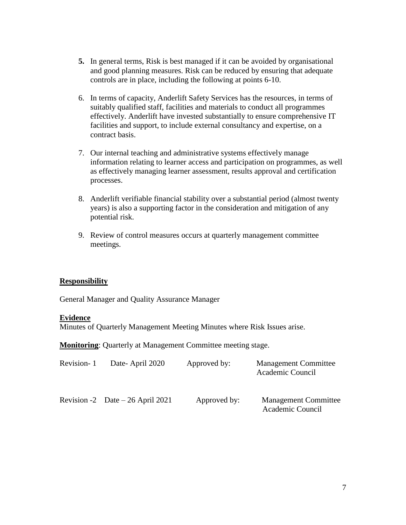- **5.** In general terms, Risk is best managed if it can be avoided by organisational and good planning measures. Risk can be reduced by ensuring that adequate controls are in place, including the following at points 6-10.
- 6. In terms of capacity, Anderlift Safety Services has the resources, in terms of suitably qualified staff, facilities and materials to conduct all programmes effectively. Anderlift have invested substantially to ensure comprehensive IT facilities and support, to include external consultancy and expertise, on a contract basis.
- 7. Our internal teaching and administrative systems effectively manage information relating to learner access and participation on programmes, as well as effectively managing learner assessment, results approval and certification processes.
- 8. Anderlift verifiable financial stability over a substantial period (almost twenty years) is also a supporting factor in the consideration and mitigation of any potential risk.
- 9. Review of control measures occurs at quarterly management committee meetings.

# **Responsibility**

General Manager and Quality Assurance Manager

#### **Evidence**

Minutes of Quarterly Management Meeting Minutes where Risk Issues arise.

**Monitoring**: Quarterly at Management Committee meeting stage.

| Revision-1 | Date-April 2020                   | Approved by: | <b>Management Committee</b><br>Academic Council |
|------------|-----------------------------------|--------------|-------------------------------------------------|
|            | Revision -2 Date $-26$ April 2021 | Approved by: | <b>Management Committee</b><br>Academic Council |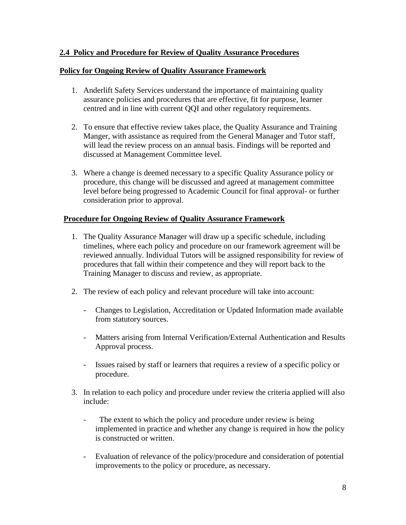# **2.4 Policy and Procedure for Review of Quality Assurance Procedures**

## **Policy for Ongoing Review of Quality Assurance Framework**

- 1. Anderlift Safety Services understand the importance of maintaining quality assurance policies and procedures that are effective, fit for purpose, learner centred and in line with current QQI and other regulatory requirements.
- 2. To ensure that effective review takes place, the Quality Assurance and Training Manger, with assistance as required from the General Manager and Tutor staff, will lead the review process on an annual basis. Findings will be reported and discussed at Management Committee level.
- 3. Where a change is deemed necessary to a specific Quality Assurance policy or procedure, this change will be discussed and agreed at management committee level before being progressed to Academic Council for final approval- or further consideration prior to approval.

# **Procedure for Ongoing Review of Quality Assurance Framework**

- 1. The Quality Assurance Manager will draw up a specific schedule, including timelines, where each policy and procedure on our framework agreement will be reviewed annually. Individual Tutors will be assigned responsibility for review of procedures that fall within their competence and they will report back to the Training Manager to discuss and review, as appropriate.
- 2. The review of each policy and relevant procedure will take into account:
	- Changes to Legislation, Accreditation or Updated Information made available from statutory sources.
	- Matters arising from Internal Verification/External Authentication and Results Approval process.
	- Issues raised by staff or learners that requires a review of a specific policy or procedure.
- 3. In relation to each policy and procedure under review the criteria applied will also include:
	- The extent to which the policy and procedure under review is being implemented in practice and whether any change is required in how the policy is constructed or written.
	- Evaluation of relevance of the policy/procedure and consideration of potential improvements to the policy or procedure, as necessary.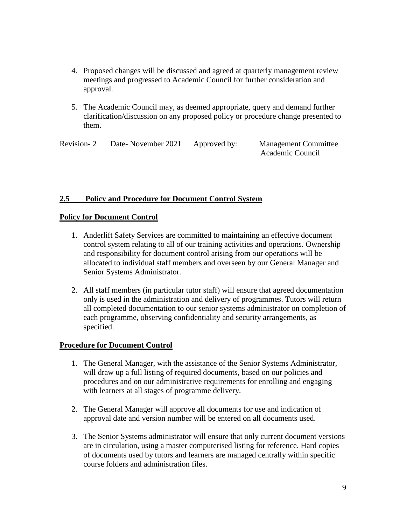- 4. Proposed changes will be discussed and agreed at quarterly management review meetings and progressed to Academic Council for further consideration and approval.
- 5. The Academic Council may, as deemed appropriate, query and demand further clarification/discussion on any proposed policy or procedure change presented to them.

Revision- 2 Date- November 2021 Approved by: Management Committee Academic Council

# **2.5 Policy and Procedure for Document Control System**

#### **Policy for Document Control**

- 1. Anderlift Safety Services are committed to maintaining an effective document control system relating to all of our training activities and operations. Ownership and responsibility for document control arising from our operations will be allocated to individual staff members and overseen by our General Manager and Senior Systems Administrator.
- 2. All staff members (in particular tutor staff) will ensure that agreed documentation only is used in the administration and delivery of programmes. Tutors will return all completed documentation to our senior systems administrator on completion of each programme, observing confidentiality and security arrangements, as specified.

#### **Procedure for Document Control**

- 1. The General Manager, with the assistance of the Senior Systems Administrator, will draw up a full listing of required documents, based on our policies and procedures and on our administrative requirements for enrolling and engaging with learners at all stages of programme delivery.
- 2. The General Manager will approve all documents for use and indication of approval date and version number will be entered on all documents used.
- 3. The Senior Systems administrator will ensure that only current document versions are in circulation, using a master computerised listing for reference. Hard copies of documents used by tutors and learners are managed centrally within specific course folders and administration files.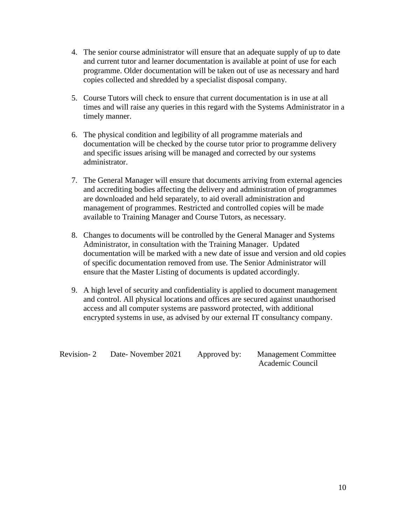- 4. The senior course administrator will ensure that an adequate supply of up to date and current tutor and learner documentation is available at point of use for each programme. Older documentation will be taken out of use as necessary and hard copies collected and shredded by a specialist disposal company.
- 5. Course Tutors will check to ensure that current documentation is in use at all times and will raise any queries in this regard with the Systems Administrator in a timely manner.
- 6. The physical condition and legibility of all programme materials and documentation will be checked by the course tutor prior to programme delivery and specific issues arising will be managed and corrected by our systems administrator.
- 7. The General Manager will ensure that documents arriving from external agencies and accrediting bodies affecting the delivery and administration of programmes are downloaded and held separately, to aid overall administration and management of programmes. Restricted and controlled copies will be made available to Training Manager and Course Tutors, as necessary.
- 8. Changes to documents will be controlled by the General Manager and Systems Administrator, in consultation with the Training Manager. Updated documentation will be marked with a new date of issue and version and old copies of specific documentation removed from use. The Senior Administrator will ensure that the Master Listing of documents is updated accordingly.
- 9. A high level of security and confidentiality is applied to document management and control. All physical locations and offices are secured against unauthorised access and all computer systems are password protected, with additional encrypted systems in use, as advised by our external IT consultancy company.

Revision- 2 Date- November 2021 Approved by: Management Committee Academic Council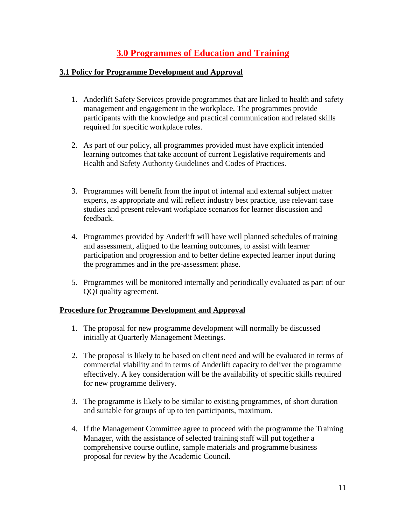# **3.0 Programmes of Education and Training**

## **3.1 Policy for Programme Development and Approval**

- 1. Anderlift Safety Services provide programmes that are linked to health and safety management and engagement in the workplace. The programmes provide participants with the knowledge and practical communication and related skills required for specific workplace roles.
- 2. As part of our policy, all programmes provided must have explicit intended learning outcomes that take account of current Legislative requirements and Health and Safety Authority Guidelines and Codes of Practices.
- 3. Programmes will benefit from the input of internal and external subject matter experts, as appropriate and will reflect industry best practice, use relevant case studies and present relevant workplace scenarios for learner discussion and feedback.
- 4. Programmes provided by Anderlift will have well planned schedules of training and assessment, aligned to the learning outcomes, to assist with learner participation and progression and to better define expected learner input during the programmes and in the pre-assessment phase.
- 5. Programmes will be monitored internally and periodically evaluated as part of our QQI quality agreement.

# **Procedure for Programme Development and Approval**

- 1. The proposal for new programme development will normally be discussed initially at Quarterly Management Meetings.
- 2. The proposal is likely to be based on client need and will be evaluated in terms of commercial viability and in terms of Anderlift capacity to deliver the programme effectively. A key consideration will be the availability of specific skills required for new programme delivery.
- 3. The programme is likely to be similar to existing programmes, of short duration and suitable for groups of up to ten participants, maximum.
- 4. If the Management Committee agree to proceed with the programme the Training Manager, with the assistance of selected training staff will put together a comprehensive course outline, sample materials and programme business proposal for review by the Academic Council.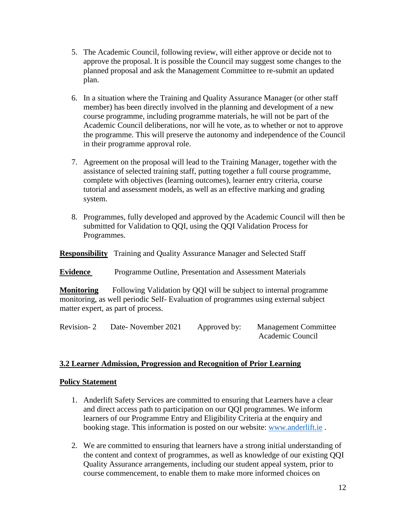- 5. The Academic Council, following review, will either approve or decide not to approve the proposal. It is possible the Council may suggest some changes to the planned proposal and ask the Management Committee to re-submit an updated plan.
- 6. In a situation where the Training and Quality Assurance Manager (or other staff member) has been directly involved in the planning and development of a new course programme, including programme materials, he will not be part of the Academic Council deliberations, nor will he vote, as to whether or not to approve the programme. This will preserve the autonomy and independence of the Council in their programme approval role.
- 7. Agreement on the proposal will lead to the Training Manager, together with the assistance of selected training staff, putting together a full course programme, complete with objectives (learning outcomes), learner entry criteria, course tutorial and assessment models, as well as an effective marking and grading system.
- 8. Programmes, fully developed and approved by the Academic Council will then be submitted for Validation to QQI, using the QQI Validation Process for Programmes.

**Responsibility** Training and Quality Assurance Manager and Selected Staff

**Evidence** Programme Outline, Presentation and Assessment Materials

**Monitoring** Following Validation by QQI will be subject to internal programme monitoring, as well periodic Self- Evaluation of programmes using external subject matter expert, as part of process.

Revision- 2 Date- November 2021 Approved by: Management Committee Academic Council

# **3.2 Learner Admission, Progression and Recognition of Prior Learning**

#### **Policy Statement**

- 1. Anderlift Safety Services are committed to ensuring that Learners have a clear and direct access path to participation on our QQI programmes. We inform learners of our Programme Entry and Eligibility Criteria at the enquiry and booking stage. This information is posted on our website: [www.anderlift.ie](http://www.anderlift.ie/) .
- 2. We are committed to ensuring that learners have a strong initial understanding of the content and context of programmes, as well as knowledge of our existing QQI Quality Assurance arrangements, including our student appeal system, prior to course commencement, to enable them to make more informed choices on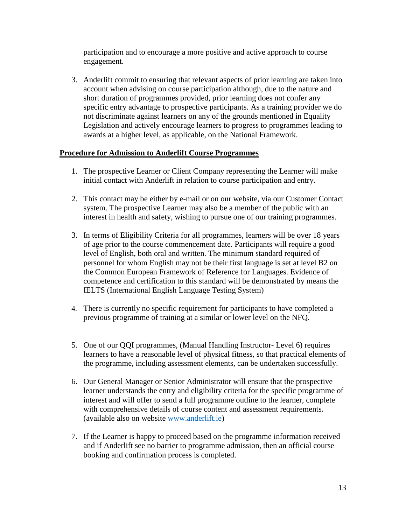participation and to encourage a more positive and active approach to course engagement.

3. Anderlift commit to ensuring that relevant aspects of prior learning are taken into account when advising on course participation although, due to the nature and short duration of programmes provided, prior learning does not confer any specific entry advantage to prospective participants. As a training provider we do not discriminate against learners on any of the grounds mentioned in Equality Legislation and actively encourage learners to progress to programmes leading to awards at a higher level, as applicable, on the National Framework.

# **Procedure for Admission to Anderlift Course Programmes**

- 1. The prospective Learner or Client Company representing the Learner will make initial contact with Anderlift in relation to course participation and entry.
- 2. This contact may be either by e-mail or on our website, via our Customer Contact system. The prospective Learner may also be a member of the public with an interest in health and safety, wishing to pursue one of our training programmes.
- 3. In terms of Eligibility Criteria for all programmes, learners will be over 18 years of age prior to the course commencement date. Participants will require a good level of English, both oral and written. The minimum standard required of personnel for whom English may not be their first language is set at level B2 on the Common European Framework of Reference for Languages. Evidence of competence and certification to this standard will be demonstrated by means the IELTS (International English Language Testing System)
- 4. There is currently no specific requirement for participants to have completed a previous programme of training at a similar or lower level on the NFQ.
- 5. One of our QQI programmes, (Manual Handling Instructor- Level 6) requires learners to have a reasonable level of physical fitness, so that practical elements of the programme, including assessment elements, can be undertaken successfully.
- 6. Our General Manager or Senior Administrator will ensure that the prospective learner understands the entry and eligibility criteria for the specific programme of interest and will offer to send a full programme outline to the learner, complete with comprehensive details of course content and assessment requirements. (available also on website [www.anderlift.ie\)](http://www.anderlift.ie/)
- 7. If the Learner is happy to proceed based on the programme information received and if Anderlift see no barrier to programme admission, then an official course booking and confirmation process is completed.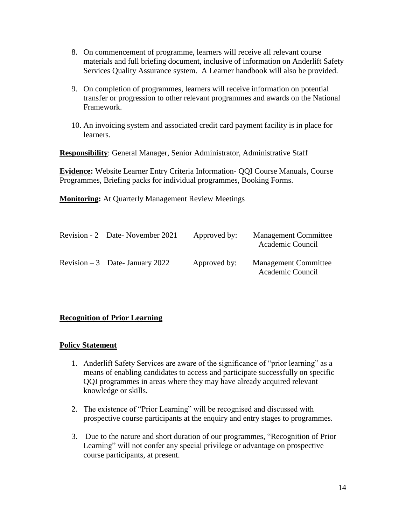- 8. On commencement of programme, learners will receive all relevant course materials and full briefing document, inclusive of information on Anderlift Safety Services Quality Assurance system. A Learner handbook will also be provided.
- 9. On completion of programmes, learners will receive information on potential transfer or progression to other relevant programmes and awards on the National Framework.
- 10. An invoicing system and associated credit card payment facility is in place for learners.

**Responsibility**: General Manager, Senior Administrator, Administrative Staff

**Evidence:** Website Learner Entry Criteria Information- QQI Course Manuals, Course Programmes, Briefing packs for individual programmes, Booking Forms.

**Monitoring:** At Quarterly Management Review Meetings

| Revision - 2 Date-November 2021  | Approved by: | <b>Management Committee</b><br>Academic Council |
|----------------------------------|--------------|-------------------------------------------------|
| Revision $-3$ Date- January 2022 | Approved by: | <b>Management Committee</b><br>Academic Council |

# **Recognition of Prior Learning**

#### **Policy Statement**

- 1. Anderlift Safety Services are aware of the significance of "prior learning" as a means of enabling candidates to access and participate successfully on specific QQI programmes in areas where they may have already acquired relevant knowledge or skills.
- 2. The existence of "Prior Learning" will be recognised and discussed with prospective course participants at the enquiry and entry stages to programmes.
- 3. Due to the nature and short duration of our programmes, "Recognition of Prior Learning" will not confer any special privilege or advantage on prospective course participants, at present.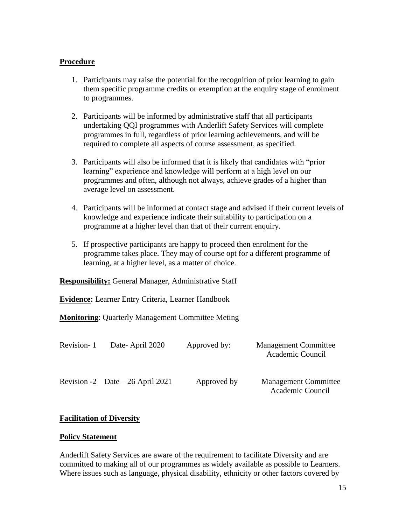#### **Procedure**

- 1. Participants may raise the potential for the recognition of prior learning to gain them specific programme credits or exemption at the enquiry stage of enrolment to programmes.
- 2. Participants will be informed by administrative staff that all participants undertaking QQI programmes with Anderlift Safety Services will complete programmes in full, regardless of prior learning achievements, and will be required to complete all aspects of course assessment, as specified.
- 3. Participants will also be informed that it is likely that candidates with "prior learning" experience and knowledge will perform at a high level on our programmes and often, although not always, achieve grades of a higher than average level on assessment.
- 4. Participants will be informed at contact stage and advised if their current levels of knowledge and experience indicate their suitability to participation on a programme at a higher level than that of their current enquiry.
- 5. If prospective participants are happy to proceed then enrolment for the programme takes place. They may of course opt for a different programme of learning, at a higher level, as a matter of choice.

**Responsibility:** General Manager, Administrative Staff

**Evidence:** Learner Entry Criteria, Learner Handbook

**Monitoring**: Quarterly Management Committee Meting

| Revision-1 | Date-April 2020                   | Approved by: | <b>Management Committee</b><br>Academic Council |
|------------|-----------------------------------|--------------|-------------------------------------------------|
|            | Revision -2 Date $-26$ April 2021 | Approved by  | <b>Management Committee</b><br>Academic Council |

# **Facilitation of Diversity**

#### **Policy Statement**

Anderlift Safety Services are aware of the requirement to facilitate Diversity and are committed to making all of our programmes as widely available as possible to Learners. Where issues such as language, physical disability, ethnicity or other factors covered by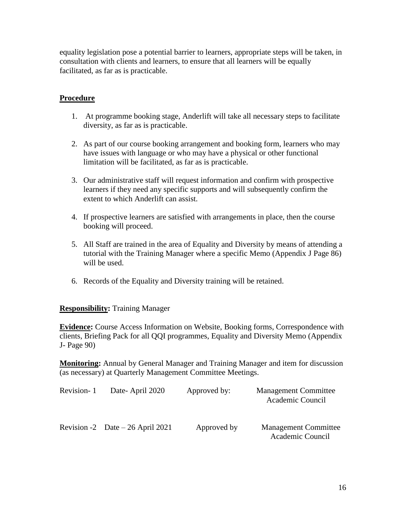equality legislation pose a potential barrier to learners, appropriate steps will be taken, in consultation with clients and learners, to ensure that all learners will be equally facilitated, as far as is practicable.

# **Procedure**

- 1. At programme booking stage, Anderlift will take all necessary steps to facilitate diversity, as far as is practicable.
- 2. As part of our course booking arrangement and booking form, learners who may have issues with language or who may have a physical or other functional limitation will be facilitated, as far as is practicable.
- 3. Our administrative staff will request information and confirm with prospective learners if they need any specific supports and will subsequently confirm the extent to which Anderlift can assist.
- 4. If prospective learners are satisfied with arrangements in place, then the course booking will proceed.
- 5. All Staff are trained in the area of Equality and Diversity by means of attending a tutorial with the Training Manager where a specific Memo (Appendix J Page 86) will be used.
- 6. Records of the Equality and Diversity training will be retained.

**Responsibility:** Training Manager

**Evidence:** Course Access Information on Website, Booking forms, Correspondence with clients, Briefing Pack for all QQI programmes, Equality and Diversity Memo (Appendix J- Page 90)

**Monitoring:** Annual by General Manager and Training Manager and item for discussion (as necessary) at Quarterly Management Committee Meetings.

| Revision-1 | Date-April 2020                   | Approved by: | <b>Management Committee</b><br>Academic Council |
|------------|-----------------------------------|--------------|-------------------------------------------------|
|            | Revision -2 Date $-26$ April 2021 | Approved by  | <b>Management Committee</b><br>Academic Council |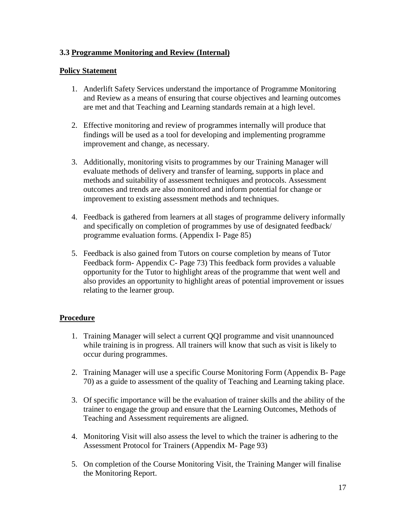# **3.3 Programme Monitoring and Review (Internal)**

# **Policy Statement**

- 1. Anderlift Safety Services understand the importance of Programme Monitoring and Review as a means of ensuring that course objectives and learning outcomes are met and that Teaching and Learning standards remain at a high level.
- 2. Effective monitoring and review of programmes internally will produce that findings will be used as a tool for developing and implementing programme improvement and change, as necessary.
- 3. Additionally, monitoring visits to programmes by our Training Manager will evaluate methods of delivery and transfer of learning, supports in place and methods and suitability of assessment techniques and protocols. Assessment outcomes and trends are also monitored and inform potential for change or improvement to existing assessment methods and techniques.
- 4. Feedback is gathered from learners at all stages of programme delivery informally and specifically on completion of programmes by use of designated feedback/ programme evaluation forms. (Appendix I- Page 85)
- 5. Feedback is also gained from Tutors on course completion by means of Tutor Feedback form- Appendix C- Page 73) This feedback form provides a valuable opportunity for the Tutor to highlight areas of the programme that went well and also provides an opportunity to highlight areas of potential improvement or issues relating to the learner group.

# **Procedure**

- 1. Training Manager will select a current QQI programme and visit unannounced while training is in progress. All trainers will know that such as visit is likely to occur during programmes.
- 2. Training Manager will use a specific Course Monitoring Form (Appendix B- Page 70) as a guide to assessment of the quality of Teaching and Learning taking place.
- 3. Of specific importance will be the evaluation of trainer skills and the ability of the trainer to engage the group and ensure that the Learning Outcomes, Methods of Teaching and Assessment requirements are aligned.
- 4. Monitoring Visit will also assess the level to which the trainer is adhering to the Assessment Protocol for Trainers (Appendix M- Page 93)
- 5. On completion of the Course Monitoring Visit, the Training Manger will finalise the Monitoring Report.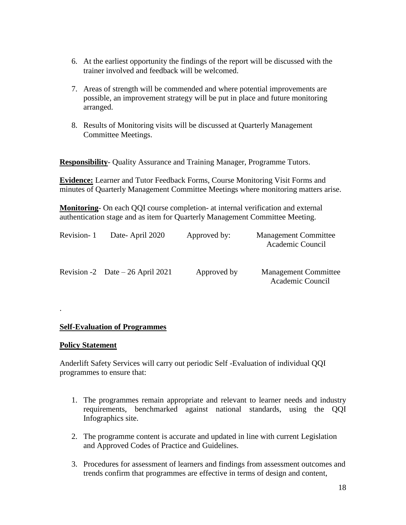- 6. At the earliest opportunity the findings of the report will be discussed with the trainer involved and feedback will be welcomed.
- 7. Areas of strength will be commended and where potential improvements are possible, an improvement strategy will be put in place and future monitoring arranged.
- 8. Results of Monitoring visits will be discussed at Quarterly Management Committee Meetings.

**Responsibility**- Quality Assurance and Training Manager, Programme Tutors.

**Evidence:** Learner and Tutor Feedback Forms, Course Monitoring Visit Forms and minutes of Quarterly Management Committee Meetings where monitoring matters arise.

**Monitoring**- On each QQI course completion- at internal verification and external authentication stage and as item for Quarterly Management Committee Meeting.

| Revision-1 | Date-April 2020                   | Approved by: | <b>Management Committee</b><br>Academic Council |
|------------|-----------------------------------|--------------|-------------------------------------------------|
|            | Revision -2 Date $-26$ April 2021 | Approved by  | <b>Management Committee</b><br>Academic Council |

#### **Self-Evaluation of Programmes**

#### **Policy Statement**

.

Anderlift Safety Services will carry out periodic Self -Evaluation of individual QQI programmes to ensure that:

- 1. The programmes remain appropriate and relevant to learner needs and industry requirements, benchmarked against national standards, using the QQI Infographics site.
- 2. The programme content is accurate and updated in line with current Legislation and Approved Codes of Practice and Guidelines.
- 3. Procedures for assessment of learners and findings from assessment outcomes and trends confirm that programmes are effective in terms of design and content,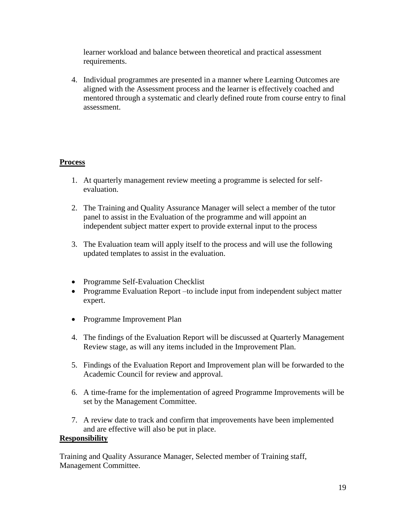learner workload and balance between theoretical and practical assessment requirements.

4. Individual programmes are presented in a manner where Learning Outcomes are aligned with the Assessment process and the learner is effectively coached and mentored through a systematic and clearly defined route from course entry to final assessment.

# **Process**

- 1. At quarterly management review meeting a programme is selected for selfevaluation.
- 2. The Training and Quality Assurance Manager will select a member of the tutor panel to assist in the Evaluation of the programme and will appoint an independent subject matter expert to provide external input to the process
- 3. The Evaluation team will apply itself to the process and will use the following updated templates to assist in the evaluation.
- Programme Self-Evaluation Checklist
- Programme Evaluation Report –to include input from independent subject matter expert.
- Programme Improvement Plan
- 4. The findings of the Evaluation Report will be discussed at Quarterly Management Review stage, as will any items included in the Improvement Plan.
- 5. Findings of the Evaluation Report and Improvement plan will be forwarded to the Academic Council for review and approval.
- 6. A time-frame for the implementation of agreed Programme Improvements will be set by the Management Committee.
- 7. A review date to track and confirm that improvements have been implemented and are effective will also be put in place.

#### **Responsibility**

Training and Quality Assurance Manager, Selected member of Training staff, Management Committee.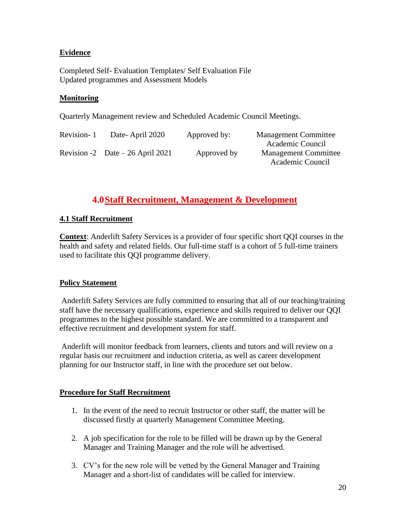# **Evidence**

Completed Self- Evaluation Templates/ Self Evaluation File Updated programmes and Assessment Models

## **Monitoring**

Quarterly Management review and Scheduled Academic Council Meetings.

| Revision-1 | Date-April 2020                   | Approved by: | <b>Management Committee</b> |
|------------|-----------------------------------|--------------|-----------------------------|
|            |                                   |              | Academic Council            |
|            | Revision -2 Date $-26$ April 2021 | Approved by  | <b>Management Committee</b> |
|            |                                   |              | Academic Council            |

# **4.0Staff Recruitment, Management & Development**

#### **4.1 Staff Recruitment**

**Context**: Anderlift Safety Services is a provider of four specific short QQI courses in the health and safety and related fields. Our full-time staff is a cohort of 5 full-time trainers used to facilitate this QQI programme delivery.

# **Policy Statement**

Anderlift Safety Services are fully committed to ensuring that all of our teaching/training staff have the necessary qualifications, experience and skills required to deliver our QQI programmes to the highest possible standard. We are committed to a transparent and effective recruitment and development system for staff.

Anderlift will monitor feedback from learners, clients and tutors and will review on a regular basis our recruitment and induction criteria, as well as career development planning for our Instructor staff, in line with the procedure set out below.

#### **Procedure for Staff Recruitment**

- 1. In the event of the need to recruit Instructor or other staff, the matter will be discussed firstly at quarterly Management Committee Meeting.
- 2. A job specification for the role to be filled will be drawn up by the General Manager and Training Manager and the role will be advertised.
- 3. CV's for the new role will be vetted by the General Manager and Training Manager and a short-list of candidates will be called for interview.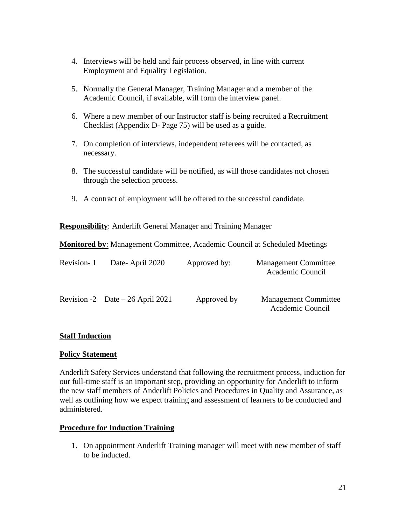- 4. Interviews will be held and fair process observed, in line with current Employment and Equality Legislation.
- 5. Normally the General Manager, Training Manager and a member of the Academic Council, if available, will form the interview panel.
- 6. Where a new member of our Instructor staff is being recruited a Recruitment Checklist (Appendix D- Page 75) will be used as a guide.
- 7. On completion of interviews, independent referees will be contacted, as necessary.
- 8. The successful candidate will be notified, as will those candidates not chosen through the selection process.
- 9. A contract of employment will be offered to the successful candidate.

**Responsibility**: Anderlift General Manager and Training Manager

**Monitored by**: Management Committee, Academic Council at Scheduled Meetings

| Revision-1 | Date-April 2020                   | Approved by: | <b>Management Committee</b><br>Academic Council |
|------------|-----------------------------------|--------------|-------------------------------------------------|
|            | Revision -2 Date $-26$ April 2021 | Approved by  | <b>Management Committee</b><br>Academic Council |

#### **Staff Induction**

#### **Policy Statement**

Anderlift Safety Services understand that following the recruitment process, induction for our full-time staff is an important step, providing an opportunity for Anderlift to inform the new staff members of Anderlift Policies and Procedures in Quality and Assurance, as well as outlining how we expect training and assessment of learners to be conducted and administered.

#### **Procedure for Induction Training**

1. On appointment Anderlift Training manager will meet with new member of staff to be inducted.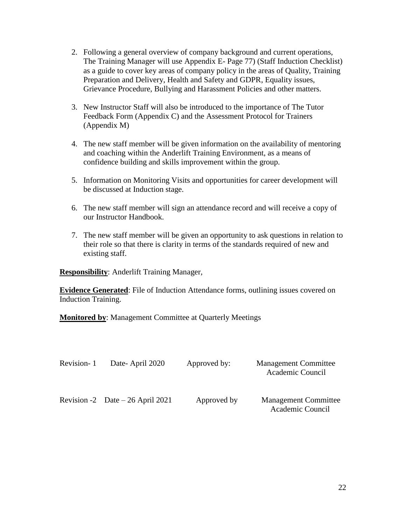- 2. Following a general overview of company background and current operations, The Training Manager will use Appendix E- Page 77) (Staff Induction Checklist) as a guide to cover key areas of company policy in the areas of Quality, Training Preparation and Delivery, Health and Safety and GDPR, Equality issues, Grievance Procedure, Bullying and Harassment Policies and other matters.
- 3. New Instructor Staff will also be introduced to the importance of The Tutor Feedback Form (Appendix C) and the Assessment Protocol for Trainers (Appendix M)
- 4. The new staff member will be given information on the availability of mentoring and coaching within the Anderlift Training Environment, as a means of confidence building and skills improvement within the group.
- 5. Information on Monitoring Visits and opportunities for career development will be discussed at Induction stage.
- 6. The new staff member will sign an attendance record and will receive a copy of our Instructor Handbook.
- 7. The new staff member will be given an opportunity to ask questions in relation to their role so that there is clarity in terms of the standards required of new and existing staff.

**Responsibility**: Anderlift Training Manager,

**Evidence Generated:** File of Induction Attendance forms, outlining issues covered on Induction Training.

**Monitored by**: Management Committee at Quarterly Meetings

| Revision-1 | Date-April 2020                   | Approved by: | <b>Management Committee</b><br>Academic Council |
|------------|-----------------------------------|--------------|-------------------------------------------------|
|            | Revision -2 Date $-26$ April 2021 | Approved by  | <b>Management Committee</b><br>Academic Council |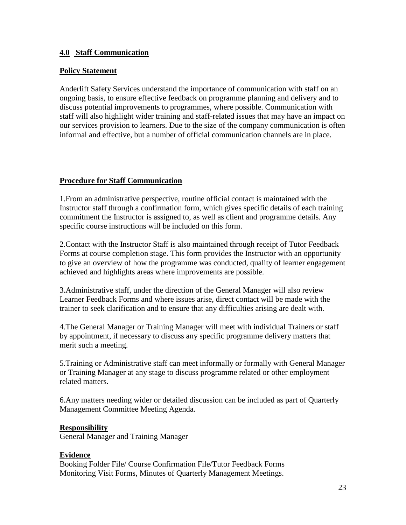# **4.0 Staff Communication**

## **Policy Statement**

Anderlift Safety Services understand the importance of communication with staff on an ongoing basis, to ensure effective feedback on programme planning and delivery and to discuss potential improvements to programmes, where possible. Communication with staff will also highlight wider training and staff-related issues that may have an impact on our services provision to learners. Due to the size of the company communication is often informal and effective, but a number of official communication channels are in place.

# **Procedure for Staff Communication**

1.From an administrative perspective, routine official contact is maintained with the Instructor staff through a confirmation form, which gives specific details of each training commitment the Instructor is assigned to, as well as client and programme details. Any specific course instructions will be included on this form.

2.Contact with the Instructor Staff is also maintained through receipt of Tutor Feedback Forms at course completion stage. This form provides the Instructor with an opportunity to give an overview of how the programme was conducted, quality of learner engagement achieved and highlights areas where improvements are possible.

3.Administrative staff, under the direction of the General Manager will also review Learner Feedback Forms and where issues arise, direct contact will be made with the trainer to seek clarification and to ensure that any difficulties arising are dealt with.

4.The General Manager or Training Manager will meet with individual Trainers or staff by appointment, if necessary to discuss any specific programme delivery matters that merit such a meeting.

5.Training or Administrative staff can meet informally or formally with General Manager or Training Manager at any stage to discuss programme related or other employment related matters.

6.Any matters needing wider or detailed discussion can be included as part of Quarterly Management Committee Meeting Agenda.

#### **Responsibility**

General Manager and Training Manager

# **Evidence**

Booking Folder File/ Course Confirmation File/Tutor Feedback Forms Monitoring Visit Forms, Minutes of Quarterly Management Meetings.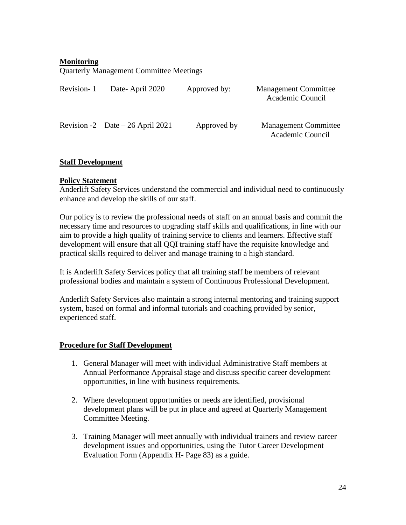## **Monitoring**

Quarterly Management Committee Meetings

| Revision-1 | Date-April 2020                   | Approved by: | <b>Management Committee</b><br>Academic Council |
|------------|-----------------------------------|--------------|-------------------------------------------------|
|            | Revision -2 Date $-26$ April 2021 | Approved by  | <b>Management Committee</b><br>Academic Council |

#### **Staff Development**

#### **Policy Statement**

Anderlift Safety Services understand the commercial and individual need to continuously enhance and develop the skills of our staff.

Our policy is to review the professional needs of staff on an annual basis and commit the necessary time and resources to upgrading staff skills and qualifications, in line with our aim to provide a high quality of training service to clients and learners. Effective staff development will ensure that all QQI training staff have the requisite knowledge and practical skills required to deliver and manage training to a high standard.

It is Anderlift Safety Services policy that all training staff be members of relevant professional bodies and maintain a system of Continuous Professional Development.

Anderlift Safety Services also maintain a strong internal mentoring and training support system, based on formal and informal tutorials and coaching provided by senior, experienced staff.

#### **Procedure for Staff Development**

- 1. General Manager will meet with individual Administrative Staff members at Annual Performance Appraisal stage and discuss specific career development opportunities, in line with business requirements.
- 2. Where development opportunities or needs are identified, provisional development plans will be put in place and agreed at Quarterly Management Committee Meeting.
- 3. Training Manager will meet annually with individual trainers and review career development issues and opportunities, using the Tutor Career Development Evaluation Form (Appendix H- Page 83) as a guide.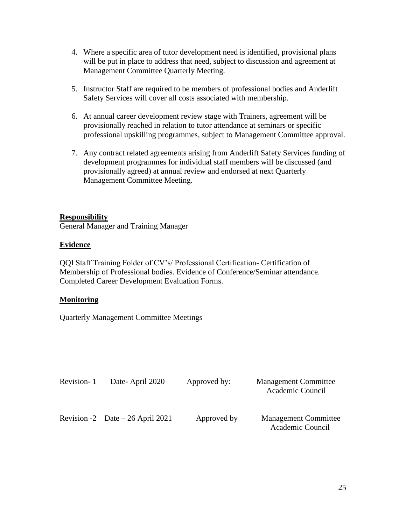- 4. Where a specific area of tutor development need is identified, provisional plans will be put in place to address that need, subject to discussion and agreement at Management Committee Quarterly Meeting.
- 5. Instructor Staff are required to be members of professional bodies and Anderlift Safety Services will cover all costs associated with membership.
- 6. At annual career development review stage with Trainers, agreement will be provisionally reached in relation to tutor attendance at seminars or specific professional upskilling programmes, subject to Management Committee approval.
- 7. Any contract related agreements arising from Anderlift Safety Services funding of development programmes for individual staff members will be discussed (and provisionally agreed) at annual review and endorsed at next Quarterly Management Committee Meeting.

#### **Responsibility**

General Manager and Training Manager

#### **Evidence**

QQI Staff Training Folder of CV's/ Professional Certification- Certification of Membership of Professional bodies. Evidence of Conference/Seminar attendance. Completed Career Development Evaluation Forms.

# **Monitoring**

Quarterly Management Committee Meetings

| Revision-1 | Date-April 2020                   | Approved by: | <b>Management Committee</b><br>Academic Council |
|------------|-----------------------------------|--------------|-------------------------------------------------|
|            | Revision -2 Date $-26$ April 2021 | Approved by  | <b>Management Committee</b><br>Academic Council |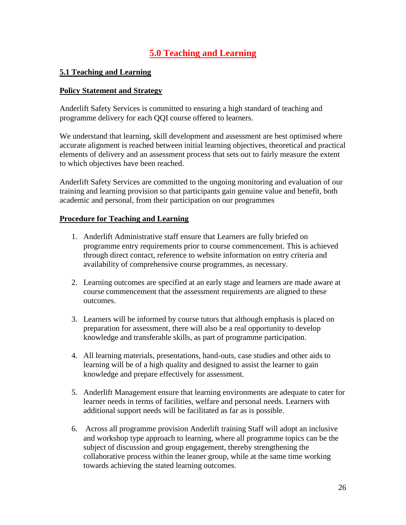# **5.0 Teaching and Learning**

## **5.1 Teaching and Learning**

#### **Policy Statement and Strategy**

Anderlift Safety Services is committed to ensuring a high standard of teaching and programme delivery for each QQI course offered to learners.

We understand that learning, skill development and assessment are best optimised where accurate alignment is reached between initial learning objectives, theoretical and practical elements of delivery and an assessment process that sets out to fairly measure the extent to which objectives have been reached.

Anderlift Safety Services are committed to the ongoing monitoring and evaluation of our training and learning provision so that participants gain genuine value and benefit, both academic and personal, from their participation on our programmes

#### **Procedure for Teaching and Learning**

- 1. Anderlift Administrative staff ensure that Learners are fully briefed on programme entry requirements prior to course commencement. This is achieved through direct contact, reference to website information on entry criteria and availability of comprehensive course programmes, as necessary.
- 2. Learning outcomes are specified at an early stage and learners are made aware at course commencement that the assessment requirements are aligned to these outcomes.
- 3. Learners will be informed by course tutors that although emphasis is placed on preparation for assessment, there will also be a real opportunity to develop knowledge and transferable skills, as part of programme participation.
- 4. All learning materials, presentations, hand-outs, case studies and other aids to learning will be of a high quality and designed to assist the learner to gain knowledge and prepare effectively for assessment.
- 5. Anderlift Management ensure that learning environments are adequate to cater for learner needs in terms of facilities, welfare and personal needs. Learners with additional support needs will be facilitated as far as is possible.
- 6. Across all programme provision Anderlift training Staff will adopt an inclusive and workshop type approach to learning, where all programme topics can be the subject of discussion and group engagement, thereby strengthening the collaborative process within the leaner group, while at the same time working towards achieving the stated learning outcomes.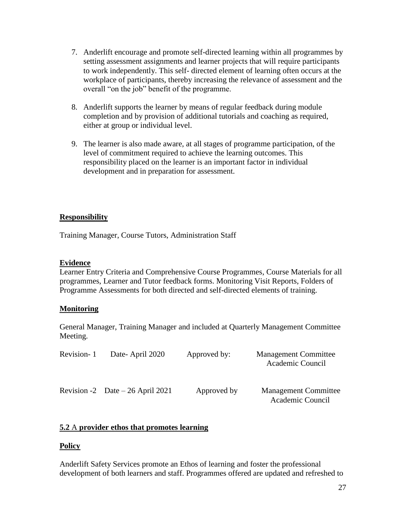- 7. Anderlift encourage and promote self-directed learning within all programmes by setting assessment assignments and learner projects that will require participants to work independently. This self- directed element of learning often occurs at the workplace of participants, thereby increasing the relevance of assessment and the overall "on the job" benefit of the programme.
- 8. Anderlift supports the learner by means of regular feedback during module completion and by provision of additional tutorials and coaching as required, either at group or individual level.
- 9. The learner is also made aware, at all stages of programme participation, of the level of commitment required to achieve the learning outcomes. This responsibility placed on the learner is an important factor in individual development and in preparation for assessment.

# **Responsibility**

Training Manager, Course Tutors, Administration Staff

#### **Evidence**

Learner Entry Criteria and Comprehensive Course Programmes, Course Materials for all programmes, Learner and Tutor feedback forms. Monitoring Visit Reports, Folders of Programme Assessments for both directed and self-directed elements of training.

#### **Monitoring**

General Manager, Training Manager and included at Quarterly Management Committee Meeting.

| Revision-1 | Date-April 2020                   | Approved by: | <b>Management Committee</b><br>Academic Council |
|------------|-----------------------------------|--------------|-------------------------------------------------|
|            | Revision -2 Date $-26$ April 2021 | Approved by  | <b>Management Committee</b><br>Academic Council |

#### **5.2** A **provider ethos that promotes learning**

#### **Policy**

Anderlift Safety Services promote an Ethos of learning and foster the professional development of both learners and staff. Programmes offered are updated and refreshed to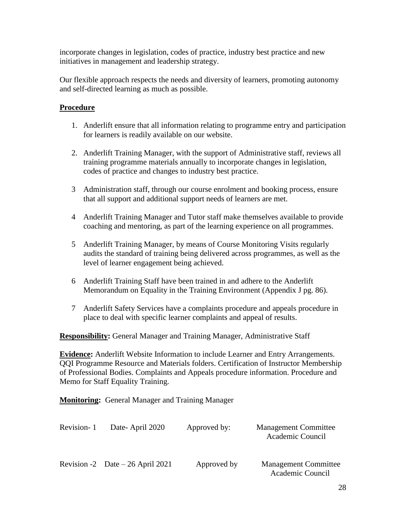incorporate changes in legislation, codes of practice, industry best practice and new initiatives in management and leadership strategy.

Our flexible approach respects the needs and diversity of learners, promoting autonomy and self-directed learning as much as possible.

# **Procedure**

- 1. Anderlift ensure that all information relating to programme entry and participation for learners is readily available on our website.
- 2. Anderlift Training Manager, with the support of Administrative staff, reviews all training programme materials annually to incorporate changes in legislation, codes of practice and changes to industry best practice.
- 3 Administration staff, through our course enrolment and booking process, ensure that all support and additional support needs of learners are met.
- 4 Anderlift Training Manager and Tutor staff make themselves available to provide coaching and mentoring, as part of the learning experience on all programmes.
- 5 Anderlift Training Manager, by means of Course Monitoring Visits regularly audits the standard of training being delivered across programmes, as well as the level of learner engagement being achieved.
- 6 Anderlift Training Staff have been trained in and adhere to the Anderlift Memorandum on Equality in the Training Environment (Appendix J pg. 86).
- 7 Anderlift Safety Services have a complaints procedure and appeals procedure in place to deal with specific learner complaints and appeal of results.

**Responsibility:** General Manager and Training Manager, Administrative Staff

**Evidence:** Anderlift Website Information to include Learner and Entry Arrangements. QQI Programme Resource and Materials folders. Certification of Instructor Membership of Professional Bodies. Complaints and Appeals procedure information. Procedure and Memo for Staff Equality Training.

**Monitoring:** General Manager and Training Manager

| Revision-1 | Date-April 2020                   | Approved by: | <b>Management Committee</b><br>Academic Council |
|------------|-----------------------------------|--------------|-------------------------------------------------|
|            | Revision -2 Date $-26$ April 2021 | Approved by  | <b>Management Committee</b><br>Academic Council |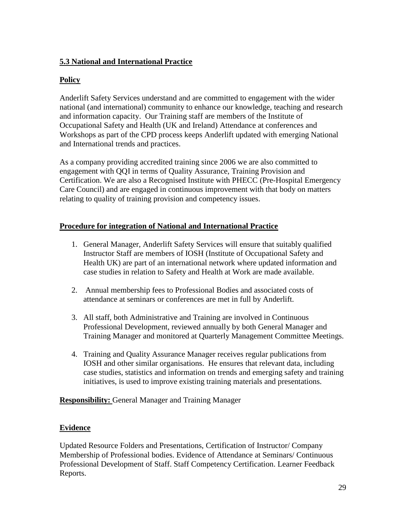# **5.3 National and International Practice**

# **Policy**

Anderlift Safety Services understand and are committed to engagement with the wider national (and international) community to enhance our knowledge, teaching and research and information capacity. Our Training staff are members of the Institute of Occupational Safety and Health (UK and Ireland) Attendance at conferences and Workshops as part of the CPD process keeps Anderlift updated with emerging National and International trends and practices.

As a company providing accredited training since 2006 we are also committed to engagement with QQI in terms of Quality Assurance, Training Provision and Certification. We are also a Recognised Institute with PHECC (Pre-Hospital Emergency Care Council) and are engaged in continuous improvement with that body on matters relating to quality of training provision and competency issues.

# **Procedure for integration of National and International Practice**

- 1. General Manager, Anderlift Safety Services will ensure that suitably qualified Instructor Staff are members of IOSH (Institute of Occupational Safety and Health UK) are part of an international network where updated information and case studies in relation to Safety and Health at Work are made available.
- 2. Annual membership fees to Professional Bodies and associated costs of attendance at seminars or conferences are met in full by Anderlift.
- 3. All staff, both Administrative and Training are involved in Continuous Professional Development, reviewed annually by both General Manager and Training Manager and monitored at Quarterly Management Committee Meetings.
- 4. Training and Quality Assurance Manager receives regular publications from IOSH and other similar organisations. He ensures that relevant data, including case studies, statistics and information on trends and emerging safety and training initiatives, is used to improve existing training materials and presentations.

**Responsibility:** General Manager and Training Manager

# **Evidence**

Updated Resource Folders and Presentations, Certification of Instructor/ Company Membership of Professional bodies. Evidence of Attendance at Seminars/ Continuous Professional Development of Staff. Staff Competency Certification. Learner Feedback Reports.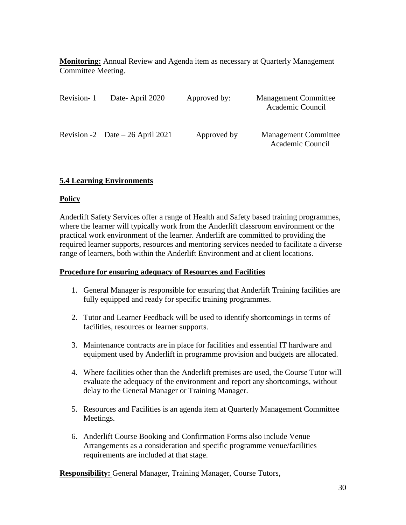**Monitoring:** Annual Review and Agenda item as necessary at Quarterly Management Committee Meeting.

| Revision-1 | Date-April 2020                   | Approved by: | <b>Management Committee</b><br>Academic Council |
|------------|-----------------------------------|--------------|-------------------------------------------------|
|            | Revision -2 Date $-26$ April 2021 | Approved by  | <b>Management Committee</b><br>Academic Council |

# **5.4 Learning Environments**

#### **Policy**

Anderlift Safety Services offer a range of Health and Safety based training programmes, where the learner will typically work from the Anderlift classroom environment or the practical work environment of the learner. Anderlift are committed to providing the required learner supports, resources and mentoring services needed to facilitate a diverse range of learners, both within the Anderlift Environment and at client locations.

#### **Procedure for ensuring adequacy of Resources and Facilities**

- 1. General Manager is responsible for ensuring that Anderlift Training facilities are fully equipped and ready for specific training programmes.
- 2. Tutor and Learner Feedback will be used to identify shortcomings in terms of facilities, resources or learner supports.
- 3. Maintenance contracts are in place for facilities and essential IT hardware and equipment used by Anderlift in programme provision and budgets are allocated.
- 4. Where facilities other than the Anderlift premises are used, the Course Tutor will evaluate the adequacy of the environment and report any shortcomings, without delay to the General Manager or Training Manager.
- 5. Resources and Facilities is an agenda item at Quarterly Management Committee Meetings.
- 6. Anderlift Course Booking and Confirmation Forms also include Venue Arrangements as a consideration and specific programme venue/facilities requirements are included at that stage.

**Responsibility: General Manager, Training Manager, Course Tutors,**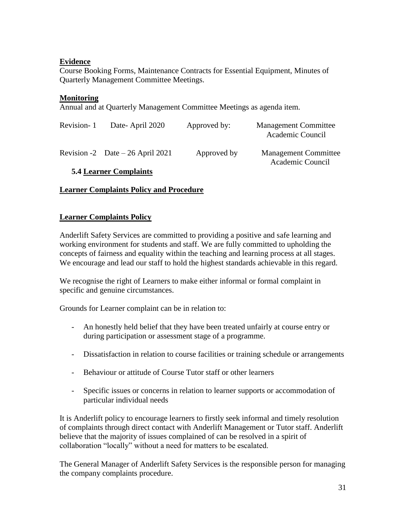# **Evidence**

Course Booking Forms, Maintenance Contracts for Essential Equipment, Minutes of Quarterly Management Committee Meetings.

# **Monitoring**

Annual and at Quarterly Management Committee Meetings as agenda item.

| Revision-1 | Date-April 2020                   | Approved by: | <b>Management Committee</b><br>Academic Council |
|------------|-----------------------------------|--------------|-------------------------------------------------|
|            | Revision -2 Date $-26$ April 2021 | Approved by  | <b>Management Committee</b><br>Academic Council |

# **5.4 Learner Complaints**

# **Learner Complaints Policy and Procedure**

# **Learner Complaints Policy**

Anderlift Safety Services are committed to providing a positive and safe learning and working environment for students and staff. We are fully committed to upholding the concepts of fairness and equality within the teaching and learning process at all stages. We encourage and lead our staff to hold the highest standards achievable in this regard.

We recognise the right of Learners to make either informal or formal complaint in specific and genuine circumstances.

Grounds for Learner complaint can be in relation to:

- An honestly held belief that they have been treated unfairly at course entry or during participation or assessment stage of a programme.
- Dissatisfaction in relation to course facilities or training schedule or arrangements
- Behaviour or attitude of Course Tutor staff or other learners
- Specific issues or concerns in relation to learner supports or accommodation of particular individual needs

It is Anderlift policy to encourage learners to firstly seek informal and timely resolution of complaints through direct contact with Anderlift Management or Tutor staff. Anderlift believe that the majority of issues complained of can be resolved in a spirit of collaboration "locally" without a need for matters to be escalated.

The General Manager of Anderlift Safety Services is the responsible person for managing the company complaints procedure.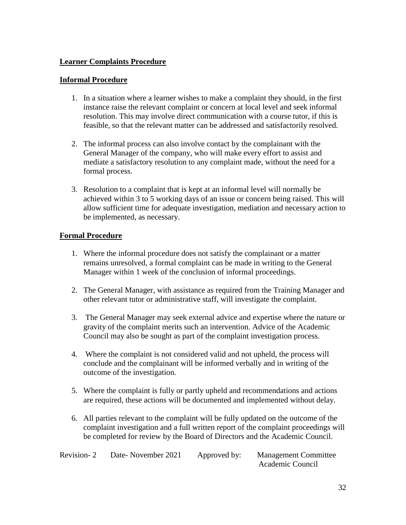## **Learner Complaints Procedure**

#### **Informal Procedure**

- 1. In a situation where a learner wishes to make a complaint they should, in the first instance raise the relevant complaint or concern at local level and seek informal resolution. This may involve direct communication with a course tutor, if this is feasible, so that the relevant matter can be addressed and satisfactorily resolved.
- 2. The informal process can also involve contact by the complainant with the General Manager of the company, who will make every effort to assist and mediate a satisfactory resolution to any complaint made, without the need for a formal process.
- 3. Resolution to a complaint that is kept at an informal level will normally be achieved within 3 to 5 working days of an issue or concern being raised. This will allow sufficient time for adequate investigation, mediation and necessary action to be implemented, as necessary.

#### **Formal Procedure**

- 1. Where the informal procedure does not satisfy the complainant or a matter remains unresolved, a formal complaint can be made in writing to the General Manager within 1 week of the conclusion of informal proceedings.
- 2. The General Manager, with assistance as required from the Training Manager and other relevant tutor or administrative staff, will investigate the complaint.
- 3. The General Manager may seek external advice and expertise where the nature or gravity of the complaint merits such an intervention. Advice of the Academic Council may also be sought as part of the complaint investigation process.
- 4. Where the complaint is not considered valid and not upheld, the process will conclude and the complainant will be informed verbally and in writing of the outcome of the investigation.
- 5. Where the complaint is fully or partly upheld and recommendations and actions are required, these actions will be documented and implemented without delay.
- 6. All parties relevant to the complaint will be fully updated on the outcome of the complaint investigation and a full written report of the complaint proceedings will be completed for review by the Board of Directors and the Academic Council.

| Revision-2 | Date-November 2021 | Approved by: | <b>Management Committee</b> |
|------------|--------------------|--------------|-----------------------------|
|            |                    |              | Academic Council            |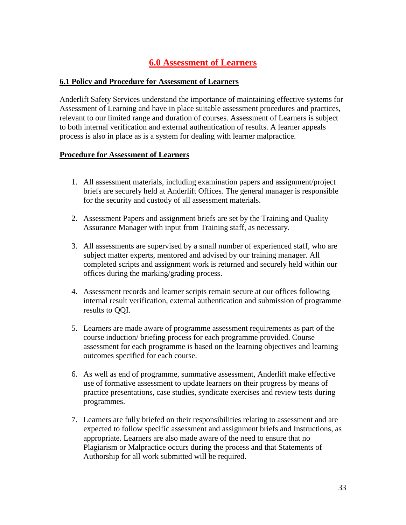# **6.0 Assessment of Learners**

#### **6.1 Policy and Procedure for Assessment of Learners**

Anderlift Safety Services understand the importance of maintaining effective systems for Assessment of Learning and have in place suitable assessment procedures and practices, relevant to our limited range and duration of courses. Assessment of Learners is subject to both internal verification and external authentication of results. A learner appeals process is also in place as is a system for dealing with learner malpractice.

#### **Procedure for Assessment of Learners**

- 1. All assessment materials, including examination papers and assignment/project briefs are securely held at Anderlift Offices. The general manager is responsible for the security and custody of all assessment materials.
- 2. Assessment Papers and assignment briefs are set by the Training and Quality Assurance Manager with input from Training staff, as necessary.
- 3. All assessments are supervised by a small number of experienced staff, who are subject matter experts, mentored and advised by our training manager. All completed scripts and assignment work is returned and securely held within our offices during the marking/grading process.
- 4. Assessment records and learner scripts remain secure at our offices following internal result verification, external authentication and submission of programme results to QQI.
- 5. Learners are made aware of programme assessment requirements as part of the course induction/ briefing process for each programme provided. Course assessment for each programme is based on the learning objectives and learning outcomes specified for each course.
- 6. As well as end of programme, summative assessment, Anderlift make effective use of formative assessment to update learners on their progress by means of practice presentations, case studies, syndicate exercises and review tests during programmes.
- 7. Learners are fully briefed on their responsibilities relating to assessment and are expected to follow specific assessment and assignment briefs and Instructions, as appropriate. Learners are also made aware of the need to ensure that no Plagiarism or Malpractice occurs during the process and that Statements of Authorship for all work submitted will be required.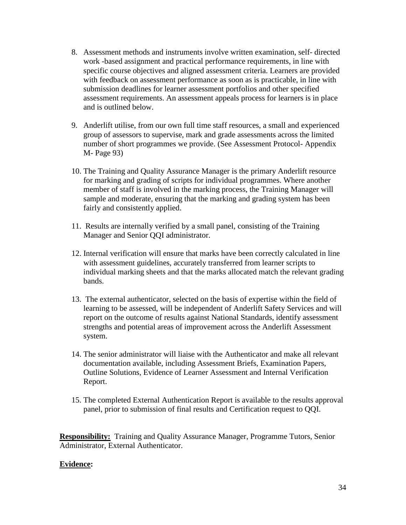- 8. Assessment methods and instruments involve written examination, self- directed work -based assignment and practical performance requirements, in line with specific course objectives and aligned assessment criteria. Learners are provided with feedback on assessment performance as soon as is practicable, in line with submission deadlines for learner assessment portfolios and other specified assessment requirements. An assessment appeals process for learners is in place and is outlined below.
- 9. Anderlift utilise, from our own full time staff resources, a small and experienced group of assessors to supervise, mark and grade assessments across the limited number of short programmes we provide. (See Assessment Protocol- Appendix M- Page 93)
- 10. The Training and Quality Assurance Manager is the primary Anderlift resource for marking and grading of scripts for individual programmes. Where another member of staff is involved in the marking process, the Training Manager will sample and moderate, ensuring that the marking and grading system has been fairly and consistently applied.
- 11. Results are internally verified by a small panel, consisting of the Training Manager and Senior QQI administrator.
- 12. Internal verification will ensure that marks have been correctly calculated in line with assessment guidelines, accurately transferred from learner scripts to individual marking sheets and that the marks allocated match the relevant grading bands.
- 13. The external authenticator, selected on the basis of expertise within the field of learning to be assessed, will be independent of Anderlift Safety Services and will report on the outcome of results against National Standards, identify assessment strengths and potential areas of improvement across the Anderlift Assessment system.
- 14. The senior administrator will liaise with the Authenticator and make all relevant documentation available, including Assessment Briefs, Examination Papers, Outline Solutions, Evidence of Learner Assessment and Internal Verification Report.
- 15. The completed External Authentication Report is available to the results approval panel, prior to submission of final results and Certification request to QQI.

**Responsibility:** Training and Quality Assurance Manager, Programme Tutors, Senior Administrator, External Authenticator.

# **Evidence:**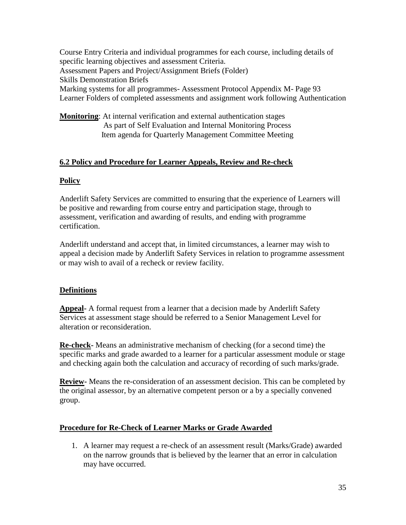Course Entry Criteria and individual programmes for each course, including details of specific learning objectives and assessment Criteria. Assessment Papers and Project/Assignment Briefs (Folder) Skills Demonstration Briefs Marking systems for all programmes- Assessment Protocol Appendix M- Page 93 Learner Folders of completed assessments and assignment work following Authentication

**Monitoring**: At internal verification and external authentication stages As part of Self Evaluation and Internal Monitoring Process Item agenda for Quarterly Management Committee Meeting

# **6.2 Policy and Procedure for Learner Appeals, Review and Re-check**

# **Policy**

Anderlift Safety Services are committed to ensuring that the experience of Learners will be positive and rewarding from course entry and participation stage, through to assessment, verification and awarding of results, and ending with programme certification.

Anderlift understand and accept that, in limited circumstances, a learner may wish to appeal a decision made by Anderlift Safety Services in relation to programme assessment or may wish to avail of a recheck or review facility.

# **Definitions**

**Appeal-** A formal request from a learner that a decision made by Anderlift Safety Services at assessment stage should be referred to a Senior Management Level for alteration or reconsideration.

**Re-check-** Means an administrative mechanism of checking (for a second time) the specific marks and grade awarded to a learner for a particular assessment module or stage and checking again both the calculation and accuracy of recording of such marks/grade.

**Review-** Means the re-consideration of an assessment decision. This can be completed by the original assessor, by an alternative competent person or a by a specially convened group.

# **Procedure for Re-Check of Learner Marks or Grade Awarded**

1. A learner may request a re-check of an assessment result (Marks/Grade) awarded on the narrow grounds that is believed by the learner that an error in calculation may have occurred.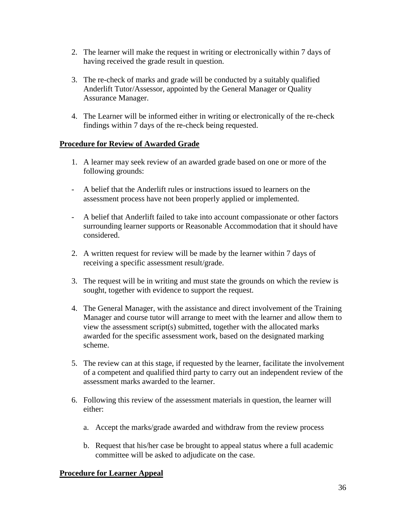- 2. The learner will make the request in writing or electronically within 7 days of having received the grade result in question.
- 3. The re-check of marks and grade will be conducted by a suitably qualified Anderlift Tutor/Assessor, appointed by the General Manager or Quality Assurance Manager.
- 4. The Learner will be informed either in writing or electronically of the re-check findings within 7 days of the re-check being requested.

# **Procedure for Review of Awarded Grade**

- 1. A learner may seek review of an awarded grade based on one or more of the following grounds:
- A belief that the Anderlift rules or instructions issued to learners on the assessment process have not been properly applied or implemented.
- A belief that Anderlift failed to take into account compassionate or other factors surrounding learner supports or Reasonable Accommodation that it should have considered.
- 2. A written request for review will be made by the learner within 7 days of receiving a specific assessment result/grade.
- 3. The request will be in writing and must state the grounds on which the review is sought, together with evidence to support the request.
- 4. The General Manager, with the assistance and direct involvement of the Training Manager and course tutor will arrange to meet with the learner and allow them to view the assessment script(s) submitted, together with the allocated marks awarded for the specific assessment work, based on the designated marking scheme.
- 5. The review can at this stage, if requested by the learner, facilitate the involvement of a competent and qualified third party to carry out an independent review of the assessment marks awarded to the learner.
- 6. Following this review of the assessment materials in question, the learner will either:
	- a. Accept the marks/grade awarded and withdraw from the review process
	- b. Request that his/her case be brought to appeal status where a full academic committee will be asked to adjudicate on the case.

# **Procedure for Learner Appeal**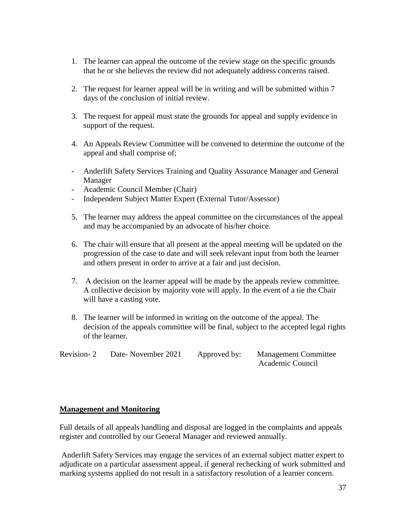- 1. The learner can appeal the outcome of the review stage on the specific grounds that he or she believes the review did not adequately address concerns raised.
- 2. The request for learner appeal will be in writing and will be submitted within 7 days of the conclusion of initial review.
- 3. The request for appeal must state the grounds for appeal and supply evidence in support of the request.
- 4. An Appeals Review Committee will be convened to determine the outcome of the appeal and shall comprise of;
- Anderlift Safety Services Training and Quality Assurance Manager and General Manager
- Academic Council Member (Chair)
- Independent Subject Matter Expert (External Tutor/Assessor)
- 5. The learner may address the appeal committee on the circumstances of the appeal and may be accompanied by an advocate of his/her choice.
- 6. The chair will ensure that all present at the appeal meeting will be updated on the progression of the case to date and will seek relevant input from both the learner and others present in order to arrive at a fair and just decision.
- 7. A decision on the learner appeal will be made by the appeals review committee. A collective decision by majority vote will apply. In the event of a tie the Chair will have a casting vote.
- 8. The learner will be informed in writing on the outcome of the appeal. The decision of the appeals committee will be final, subject to the accepted legal rights of the learner.

Revision- 2 Date- November 2021 Approved by: Management Committee Academic Council

#### **Management and Monitoring**

Full details of all appeals handling and disposal are logged in the complaints and appeals register and controlled by our General Manager and reviewed annually.

Anderlift Safety Services may engage the services of an external subject matter expert to adjudicate on a particular assessment appeal, if general rechecking of work submitted and marking systems applied do not result in a satisfactory resolution of a learner concern.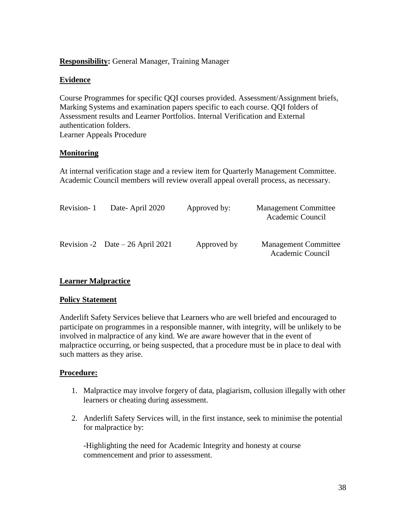## **Responsibility:** General Manager, Training Manager

#### **Evidence**

Course Programmes for specific QQI courses provided. Assessment/Assignment briefs, Marking Systems and examination papers specific to each course. QQI folders of Assessment results and Learner Portfolios. Internal Verification and External authentication folders. Learner Appeals Procedure

#### **Monitoring**

At internal verification stage and a review item for Quarterly Management Committee. Academic Council members will review overall appeal overall process, as necessary.

| Revision-1 | Date-April 2020                   | Approved by: | <b>Management Committee</b><br>Academic Council |
|------------|-----------------------------------|--------------|-------------------------------------------------|
|            | Revision -2 Date $-26$ April 2021 | Approved by  | <b>Management Committee</b><br>Academic Council |

#### **Learner Malpractice**

#### **Policy Statement**

Anderlift Safety Services believe that Learners who are well briefed and encouraged to participate on programmes in a responsible manner, with integrity, will be unlikely to be involved in malpractice of any kind. We are aware however that in the event of malpractice occurring, or being suspected, that a procedure must be in place to deal with such matters as they arise.

#### **Procedure:**

- 1. Malpractice may involve forgery of data, plagiarism, collusion illegally with other learners or cheating during assessment.
- 2. Anderlift Safety Services will, in the first instance, seek to minimise the potential for malpractice by:

-Highlighting the need for Academic Integrity and honesty at course commencement and prior to assessment.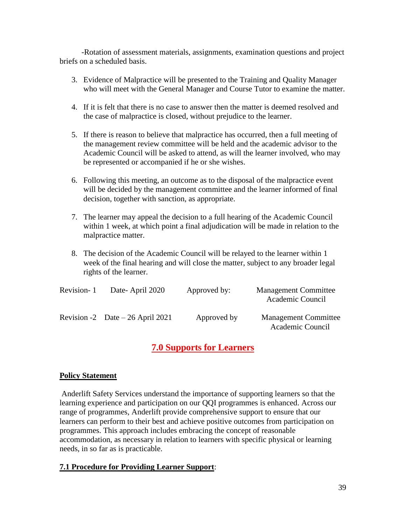-Rotation of assessment materials, assignments, examination questions and project briefs on a scheduled basis.

- 3. Evidence of Malpractice will be presented to the Training and Quality Manager who will meet with the General Manager and Course Tutor to examine the matter.
- 4. If it is felt that there is no case to answer then the matter is deemed resolved and the case of malpractice is closed, without prejudice to the learner.
- 5. If there is reason to believe that malpractice has occurred, then a full meeting of the management review committee will be held and the academic advisor to the Academic Council will be asked to attend, as will the learner involved, who may be represented or accompanied if he or she wishes.
- 6. Following this meeting, an outcome as to the disposal of the malpractice event will be decided by the management committee and the learner informed of final decision, together with sanction, as appropriate.
- 7. The learner may appeal the decision to a full hearing of the Academic Council within 1 week, at which point a final adjudication will be made in relation to the malpractice matter.
- 8. The decision of the Academic Council will be relayed to the learner within 1 week of the final hearing and will close the matter, subject to any broader legal rights of the learner.

| Revision-1 | Date-April 2020                   | Approved by: | <b>Management Committee</b><br>Academic Council |
|------------|-----------------------------------|--------------|-------------------------------------------------|
|            | Revision -2 Date $-26$ April 2021 | Approved by  | <b>Management Committee</b><br>Academic Council |

# **7.0 Supports for Learners**

# **Policy Statement**

Anderlift Safety Services understand the importance of supporting learners so that the learning experience and participation on our QQI programmes is enhanced. Across our range of programmes, Anderlift provide comprehensive support to ensure that our learners can perform to their best and achieve positive outcomes from participation on programmes. This approach includes embracing the concept of reasonable accommodation, as necessary in relation to learners with specific physical or learning needs, in so far as is practicable.

# **7.1 Procedure for Providing Learner Support**: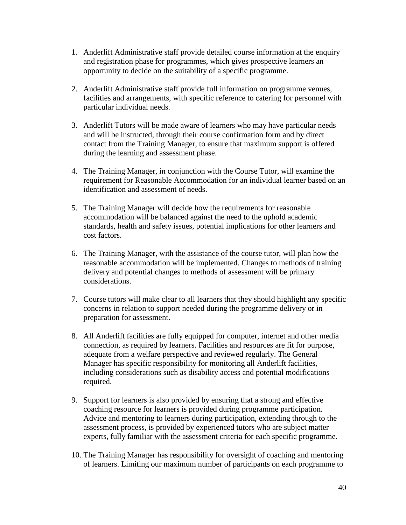- 1. Anderlift Administrative staff provide detailed course information at the enquiry and registration phase for programmes, which gives prospective learners an opportunity to decide on the suitability of a specific programme.
- 2. Anderlift Administrative staff provide full information on programme venues, facilities and arrangements, with specific reference to catering for personnel with particular individual needs.
- 3. Anderlift Tutors will be made aware of learners who may have particular needs and will be instructed, through their course confirmation form and by direct contact from the Training Manager, to ensure that maximum support is offered during the learning and assessment phase.
- 4. The Training Manager, in conjunction with the Course Tutor, will examine the requirement for Reasonable Accommodation for an individual learner based on an identification and assessment of needs.
- 5. The Training Manager will decide how the requirements for reasonable accommodation will be balanced against the need to the uphold academic standards, health and safety issues, potential implications for other learners and cost factors.
- 6. The Training Manager, with the assistance of the course tutor, will plan how the reasonable accommodation will be implemented. Changes to methods of training delivery and potential changes to methods of assessment will be primary considerations.
- 7. Course tutors will make clear to all learners that they should highlight any specific concerns in relation to support needed during the programme delivery or in preparation for assessment.
- 8. All Anderlift facilities are fully equipped for computer, internet and other media connection, as required by learners. Facilities and resources are fit for purpose, adequate from a welfare perspective and reviewed regularly. The General Manager has specific responsibility for monitoring all Anderlift facilities, including considerations such as disability access and potential modifications required.
- 9. Support for learners is also provided by ensuring that a strong and effective coaching resource for learners is provided during programme participation. Advice and mentoring to learners during participation, extending through to the assessment process, is provided by experienced tutors who are subject matter experts, fully familiar with the assessment criteria for each specific programme.
- 10. The Training Manager has responsibility for oversight of coaching and mentoring of learners. Limiting our maximum number of participants on each programme to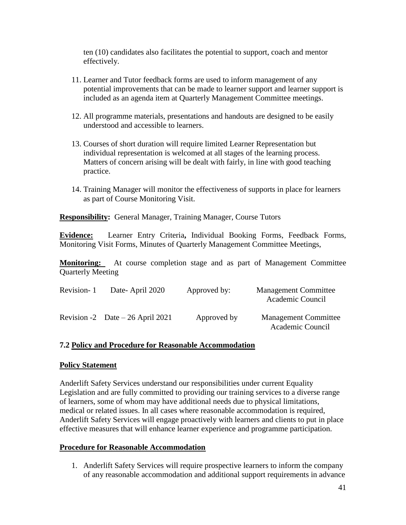ten (10) candidates also facilitates the potential to support, coach and mentor effectively.

- 11. Learner and Tutor feedback forms are used to inform management of any potential improvements that can be made to learner support and learner support is included as an agenda item at Quarterly Management Committee meetings.
- 12. All programme materials, presentations and handouts are designed to be easily understood and accessible to learners.
- 13. Courses of short duration will require limited Learner Representation but individual representation is welcomed at all stages of the learning process. Matters of concern arising will be dealt with fairly, in line with good teaching practice.
- 14. Training Manager will monitor the effectiveness of supports in place for learners as part of Course Monitoring Visit.

**Responsibility:** General Manager, Training Manager, Course Tutors

**Evidence:** Learner Entry Criteria**,** Individual Booking Forms, Feedback Forms, Monitoring Visit Forms, Minutes of Quarterly Management Committee Meetings,

**Monitoring:** At course completion stage and as part of Management Committee Quarterly Meeting

| Revision-1 | Date-April 2020                   | Approved by: | <b>Management Committee</b><br>Academic Council |
|------------|-----------------------------------|--------------|-------------------------------------------------|
|            | Revision -2 Date $-26$ April 2021 | Approved by  | <b>Management Committee</b><br>Academic Council |

#### **7.2 Policy and Procedure for Reasonable Accommodation**

#### **Policy Statement**

Anderlift Safety Services understand our responsibilities under current Equality Legislation and are fully committed to providing our training services to a diverse range of learners, some of whom may have additional needs due to physical limitations, medical or related issues. In all cases where reasonable accommodation is required, Anderlift Safety Services will engage proactively with learners and clients to put in place effective measures that will enhance learner experience and programme participation.

#### **Procedure for Reasonable Accommodation**

1. Anderlift Safety Services will require prospective learners to inform the company of any reasonable accommodation and additional support requirements in advance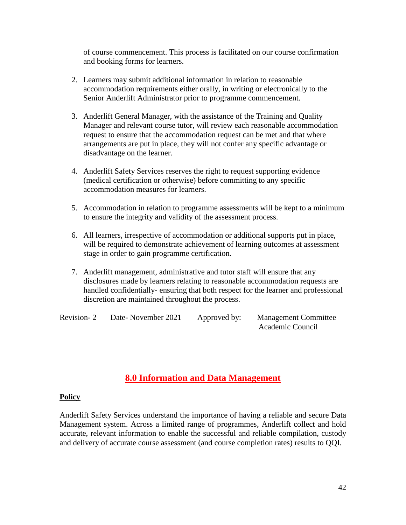of course commencement. This process is facilitated on our course confirmation and booking forms for learners.

- 2. Learners may submit additional information in relation to reasonable accommodation requirements either orally, in writing or electronically to the Senior Anderlift Administrator prior to programme commencement.
- 3. Anderlift General Manager, with the assistance of the Training and Quality Manager and relevant course tutor, will review each reasonable accommodation request to ensure that the accommodation request can be met and that where arrangements are put in place, they will not confer any specific advantage or disadvantage on the learner.
- 4. Anderlift Safety Services reserves the right to request supporting evidence (medical certification or otherwise) before committing to any specific accommodation measures for learners.
- 5. Accommodation in relation to programme assessments will be kept to a minimum to ensure the integrity and validity of the assessment process.
- 6. All learners, irrespective of accommodation or additional supports put in place, will be required to demonstrate achievement of learning outcomes at assessment stage in order to gain programme certification.
- 7. Anderlift management, administrative and tutor staff will ensure that any disclosures made by learners relating to reasonable accommodation requests are handled confidentially- ensuring that both respect for the learner and professional discretion are maintained throughout the process.

Revision- 2 Date- November 2021 Approved by: Management Committee Academic Council

# **8.0 Information and Data Management**

#### **Policy**

Anderlift Safety Services understand the importance of having a reliable and secure Data Management system. Across a limited range of programmes, Anderlift collect and hold accurate, relevant information to enable the successful and reliable compilation, custody and delivery of accurate course assessment (and course completion rates) results to QQI.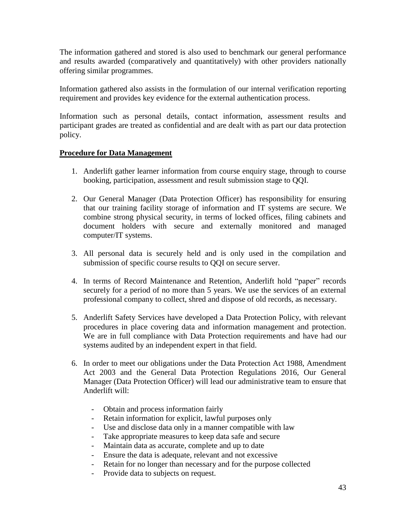The information gathered and stored is also used to benchmark our general performance and results awarded (comparatively and quantitatively) with other providers nationally offering similar programmes.

Information gathered also assists in the formulation of our internal verification reporting requirement and provides key evidence for the external authentication process.

Information such as personal details, contact information, assessment results and participant grades are treated as confidential and are dealt with as part our data protection policy.

# **Procedure for Data Management**

- 1. Anderlift gather learner information from course enquiry stage, through to course booking, participation, assessment and result submission stage to QQI.
- 2. Our General Manager (Data Protection Officer) has responsibility for ensuring that our training facility storage of information and IT systems are secure. We combine strong physical security, in terms of locked offices, filing cabinets and document holders with secure and externally monitored and managed computer/IT systems.
- 3. All personal data is securely held and is only used in the compilation and submission of specific course results to QQI on secure server.
- 4. In terms of Record Maintenance and Retention, Anderlift hold "paper" records securely for a period of no more than 5 years. We use the services of an external professional company to collect, shred and dispose of old records, as necessary.
- 5. Anderlift Safety Services have developed a Data Protection Policy, with relevant procedures in place covering data and information management and protection. We are in full compliance with Data Protection requirements and have had our systems audited by an independent expert in that field.
- 6. In order to meet our obligations under the Data Protection Act 1988, Amendment Act 2003 and the General Data Protection Regulations 2016, Our General Manager (Data Protection Officer) will lead our administrative team to ensure that Anderlift will:
	- Obtain and process information fairly
	- Retain information for explicit, lawful purposes only
	- Use and disclose data only in a manner compatible with law
	- Take appropriate measures to keep data safe and secure
	- Maintain data as accurate, complete and up to date
	- Ensure the data is adequate, relevant and not excessive
	- Retain for no longer than necessary and for the purpose collected
	- Provide data to subjects on request.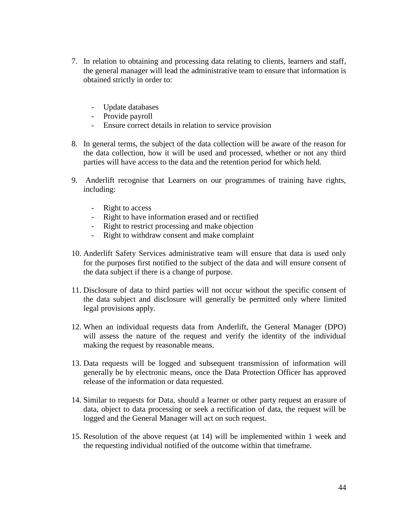- 7. In relation to obtaining and processing data relating to clients, learners and staff, the general manager will lead the administrative team to ensure that information is obtained strictly in order to:
	- Update databases
	- Provide payroll
	- Ensure correct details in relation to service provision
- 8. In general terms, the subject of the data collection will be aware of the reason for the data collection, how it will be used and processed, whether or not any third parties will have access to the data and the retention period for which held.
- 9. Anderlift recognise that Learners on our programmes of training have rights, including:
	- Right to access
	- Right to have information erased and or rectified
	- Right to restrict processing and make objection
	- Right to withdraw consent and make complaint
- 10. Anderlift Safety Services administrative team will ensure that data is used only for the purposes first notified to the subject of the data and will ensure consent of the data subject if there is a change of purpose.
- 11. Disclosure of data to third parties will not occur without the specific consent of the data subject and disclosure will generally be permitted only where limited legal provisions apply.
- 12. When an individual requests data from Anderlift, the General Manager (DPO) will assess the nature of the request and verify the identity of the individual making the request by reasonable means.
- 13. Data requests will be logged and subsequent transmission of information will generally be by electronic means, once the Data Protection Officer has approved release of the information or data requested.
- 14. Similar to requests for Data, should a learner or other party request an erasure of data, object to data processing or seek a rectification of data, the request will be logged and the General Manager will act on such request.
- 15. Resolution of the above request (at 14) will be implemented within 1 week and the requesting individual notified of the outcome within that timeframe.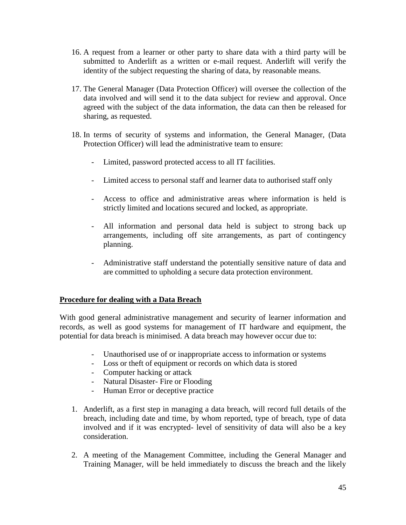- 16. A request from a learner or other party to share data with a third party will be submitted to Anderlift as a written or e-mail request. Anderlift will verify the identity of the subject requesting the sharing of data, by reasonable means.
- 17. The General Manager (Data Protection Officer) will oversee the collection of the data involved and will send it to the data subject for review and approval. Once agreed with the subject of the data information, the data can then be released for sharing, as requested.
- 18. In terms of security of systems and information, the General Manager, (Data Protection Officer) will lead the administrative team to ensure:
	- Limited, password protected access to all IT facilities.
	- Limited access to personal staff and learner data to authorised staff only
	- Access to office and administrative areas where information is held is strictly limited and locations secured and locked, as appropriate.
	- All information and personal data held is subject to strong back up arrangements, including off site arrangements, as part of contingency planning.
	- Administrative staff understand the potentially sensitive nature of data and are committed to upholding a secure data protection environment.

#### **Procedure for dealing with a Data Breach**

With good general administrative management and security of learner information and records, as well as good systems for management of IT hardware and equipment, the potential for data breach is minimised. A data breach may however occur due to:

- Unauthorised use of or inappropriate access to information or systems
- Loss or theft of equipment or records on which data is stored
- Computer hacking or attack
- Natural Disaster- Fire or Flooding
- Human Error or deceptive practice
- 1. Anderlift, as a first step in managing a data breach, will record full details of the breach, including date and time, by whom reported, type of breach, type of data involved and if it was encrypted- level of sensitivity of data will also be a key consideration.
- 2. A meeting of the Management Committee, including the General Manager and Training Manager, will be held immediately to discuss the breach and the likely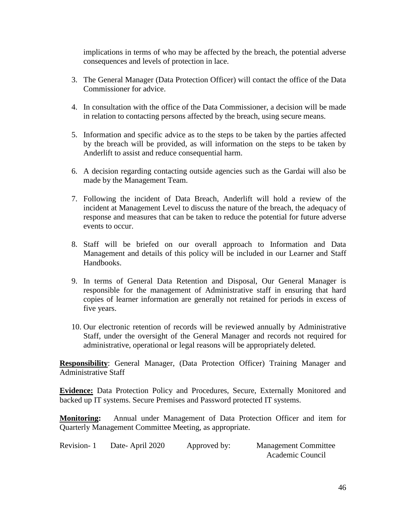implications in terms of who may be affected by the breach, the potential adverse consequences and levels of protection in lace.

- 3. The General Manager (Data Protection Officer) will contact the office of the Data Commissioner for advice.
- 4. In consultation with the office of the Data Commissioner, a decision will be made in relation to contacting persons affected by the breach, using secure means.
- 5. Information and specific advice as to the steps to be taken by the parties affected by the breach will be provided, as will information on the steps to be taken by Anderlift to assist and reduce consequential harm.
- 6. A decision regarding contacting outside agencies such as the Gardai will also be made by the Management Team.
- 7. Following the incident of Data Breach, Anderlift will hold a review of the incident at Management Level to discuss the nature of the breach, the adequacy of response and measures that can be taken to reduce the potential for future adverse events to occur.
- 8. Staff will be briefed on our overall approach to Information and Data Management and details of this policy will be included in our Learner and Staff Handbooks.
- 9. In terms of General Data Retention and Disposal, Our General Manager is responsible for the management of Administrative staff in ensuring that hard copies of learner information are generally not retained for periods in excess of five years.
- 10. Our electronic retention of records will be reviewed annually by Administrative Staff, under the oversight of the General Manager and records not required for administrative, operational or legal reasons will be appropriately deleted.

**Responsibility**: General Manager, (Data Protection Officer) Training Manager and Administrative Staff

**Evidence:** Data Protection Policy and Procedures, Secure, Externally Monitored and backed up IT systems. Secure Premises and Password protected IT systems.

**Monitoring:** Annual under Management of Data Protection Officer and item for Quarterly Management Committee Meeting, as appropriate.

| Revision-1 | Date-April 2020 | Approved by: | <b>Management Committee</b> |
|------------|-----------------|--------------|-----------------------------|
|            |                 |              | Academic Council            |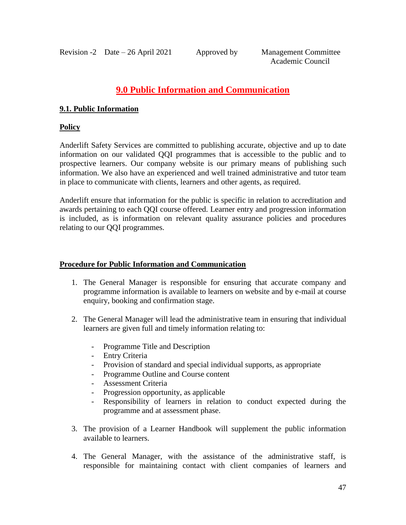# **9.0 Public Information and Communication**

#### **9.1. Public Information**

#### **Policy**

Anderlift Safety Services are committed to publishing accurate, objective and up to date information on our validated QQI programmes that is accessible to the public and to prospective learners. Our company website is our primary means of publishing such information. We also have an experienced and well trained administrative and tutor team in place to communicate with clients, learners and other agents, as required.

Anderlift ensure that information for the public is specific in relation to accreditation and awards pertaining to each QQI course offered. Learner entry and progression information is included, as is information on relevant quality assurance policies and procedures relating to our QQI programmes.

## **Procedure for Public Information and Communication**

- 1. The General Manager is responsible for ensuring that accurate company and programme information is available to learners on website and by e-mail at course enquiry, booking and confirmation stage.
- 2. The General Manager will lead the administrative team in ensuring that individual learners are given full and timely information relating to:
	- Programme Title and Description
	- Entry Criteria
	- Provision of standard and special individual supports, as appropriate
	- Programme Outline and Course content
	- Assessment Criteria
	- Progression opportunity, as applicable
	- Responsibility of learners in relation to conduct expected during the programme and at assessment phase.
- 3. The provision of a Learner Handbook will supplement the public information available to learners.
- 4. The General Manager, with the assistance of the administrative staff, is responsible for maintaining contact with client companies of learners and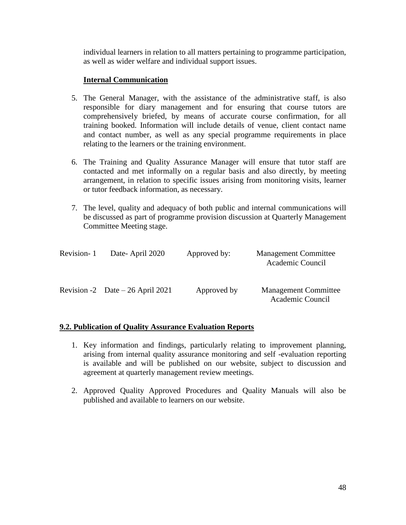individual learners in relation to all matters pertaining to programme participation, as well as wider welfare and individual support issues.

#### **Internal Communication**

- 5. The General Manager, with the assistance of the administrative staff, is also responsible for diary management and for ensuring that course tutors are comprehensively briefed, by means of accurate course confirmation, for all training booked. Information will include details of venue, client contact name and contact number, as well as any special programme requirements in place relating to the learners or the training environment.
- 6. The Training and Quality Assurance Manager will ensure that tutor staff are contacted and met informally on a regular basis and also directly, by meeting arrangement, in relation to specific issues arising from monitoring visits, learner or tutor feedback information, as necessary.
- 7. The level, quality and adequacy of both public and internal communications will be discussed as part of programme provision discussion at Quarterly Management Committee Meeting stage.

| Revision-1 | Date-April 2020                   | Approved by: | <b>Management Committee</b><br>Academic Council |
|------------|-----------------------------------|--------------|-------------------------------------------------|
|            | Revision -2 Date $-26$ April 2021 | Approved by  | <b>Management Committee</b><br>Academic Council |

#### **9.2. Publication of Quality Assurance Evaluation Reports**

- 1. Key information and findings, particularly relating to improvement planning, arising from internal quality assurance monitoring and self -evaluation reporting is available and will be published on our website, subject to discussion and agreement at quarterly management review meetings.
- 2. Approved Quality Approved Procedures and Quality Manuals will also be published and available to learners on our website.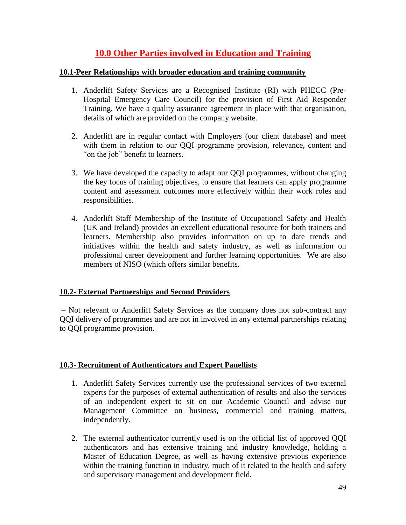# **10.0 Other Parties involved in Education and Training**

#### **10.1-Peer Relationships with broader education and training community**

- 1. Anderlift Safety Services are a Recognised Institute (RI) with PHECC (Pre-Hospital Emergency Care Council) for the provision of First Aid Responder Training. We have a quality assurance agreement in place with that organisation, details of which are provided on the company website.
- 2. Anderlift are in regular contact with Employers (our client database) and meet with them in relation to our QQI programme provision, relevance, content and "on the job" benefit to learners.
- 3. We have developed the capacity to adapt our QQI programmes, without changing the key focus of training objectives, to ensure that learners can apply programme content and assessment outcomes more effectively within their work roles and responsibilities.
- 4. Anderlift Staff Membership of the Institute of Occupational Safety and Health (UK and Ireland) provides an excellent educational resource for both trainers and learners. Membership also provides information on up to date trends and initiatives within the health and safety industry, as well as information on professional career development and further learning opportunities. We are also members of NISO (which offers similar benefits.

# **10.2- External Partnerships and Second Providers**

– Not relevant to Anderlift Safety Services as the company does not sub-contract any QQI delivery of programmes and are not in involved in any external partnerships relating to QQI programme provision.

# **10.3- Recruitment of Authenticators and Expert Panellists**

- 1. Anderlift Safety Services currently use the professional services of two external experts for the purposes of external authentication of results and also the services of an independent expert to sit on our Academic Council and advise our Management Committee on business, commercial and training matters, independently.
- 2. The external authenticator currently used is on the official list of approved QQI authenticators and has extensive training and industry knowledge, holding a Master of Education Degree, as well as having extensive previous experience within the training function in industry, much of it related to the health and safety and supervisory management and development field.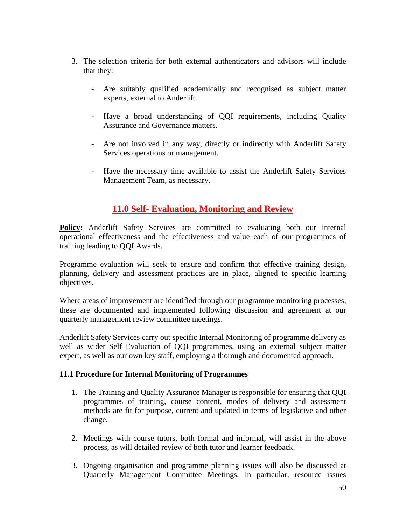- 3. The selection criteria for both external authenticators and advisors will include that they:
	- Are suitably qualified academically and recognised as subject matter experts, external to Anderlift.
	- Have a broad understanding of QQI requirements, including Quality Assurance and Governance matters.
	- Are not involved in any way, directly or indirectly with Anderlift Safety Services operations or management.
	- Have the necessary time available to assist the Anderlift Safety Services Management Team, as necessary.

# **11.0 Self- Evaluation, Monitoring and Review**

**Policy:** Anderlift Safety Services are committed to evaluating both our internal operational effectiveness and the effectiveness and value each of our programmes of training leading to QQI Awards.

Programme evaluation will seek to ensure and confirm that effective training design, planning, delivery and assessment practices are in place, aligned to specific learning objectives.

Where areas of improvement are identified through our programme monitoring processes, these are documented and implemented following discussion and agreement at our quarterly management review committee meetings.

Anderlift Safety Services carry out specific Internal Monitoring of programme delivery as well as wider Self Evaluation of QQI programmes, using an external subject matter expert, as well as our own key staff, employing a thorough and documented approach.

# **11.1 Procedure for Internal Monitoring of Programmes**

- 1. The Training and Quality Assurance Manager is responsible for ensuring that QQI programmes of training, course content, modes of delivery and assessment methods are fit for purpose, current and updated in terms of legislative and other change.
- 2. Meetings with course tutors, both formal and informal, will assist in the above process, as will detailed review of both tutor and learner feedback.
- 3. Ongoing organisation and programme planning issues will also be discussed at Quarterly Management Committee Meetings. In particular, resource issues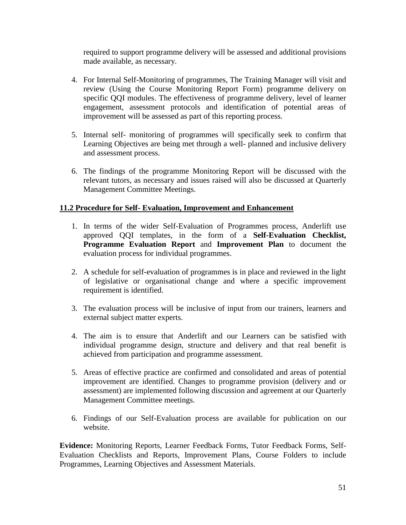required to support programme delivery will be assessed and additional provisions made available, as necessary.

- 4. For Internal Self-Monitoring of programmes, The Training Manager will visit and review (Using the Course Monitoring Report Form) programme delivery on specific QQI modules. The effectiveness of programme delivery, level of learner engagement, assessment protocols and identification of potential areas of improvement will be assessed as part of this reporting process.
- 5. Internal self- monitoring of programmes will specifically seek to confirm that Learning Objectives are being met through a well- planned and inclusive delivery and assessment process.
- 6. The findings of the programme Monitoring Report will be discussed with the relevant tutors, as necessary and issues raised will also be discussed at Quarterly Management Committee Meetings.

#### **11.2 Procedure for Self- Evaluation, Improvement and Enhancement**

- 1. In terms of the wider Self-Evaluation of Programmes process, Anderlift use approved QQI templates, in the form of a **Self-Evaluation Checklist, Programme Evaluation Report** and **Improvement Plan** to document the evaluation process for individual programmes.
- 2. A schedule for self-evaluation of programmes is in place and reviewed in the light of legislative or organisational change and where a specific improvement requirement is identified.
- 3. The evaluation process will be inclusive of input from our trainers, learners and external subject matter experts.
- 4. The aim is to ensure that Anderlift and our Learners can be satisfied with individual programme design, structure and delivery and that real benefit is achieved from participation and programme assessment.
- 5. Areas of effective practice are confirmed and consolidated and areas of potential improvement are identified. Changes to programme provision (delivery and or assessment) are implemented following discussion and agreement at our Quarterly Management Committee meetings.
- 6. Findings of our Self-Evaluation process are available for publication on our website.

**Evidence:** Monitoring Reports, Learner Feedback Forms, Tutor Feedback Forms, Self-Evaluation Checklists and Reports, Improvement Plans, Course Folders to include Programmes, Learning Objectives and Assessment Materials.